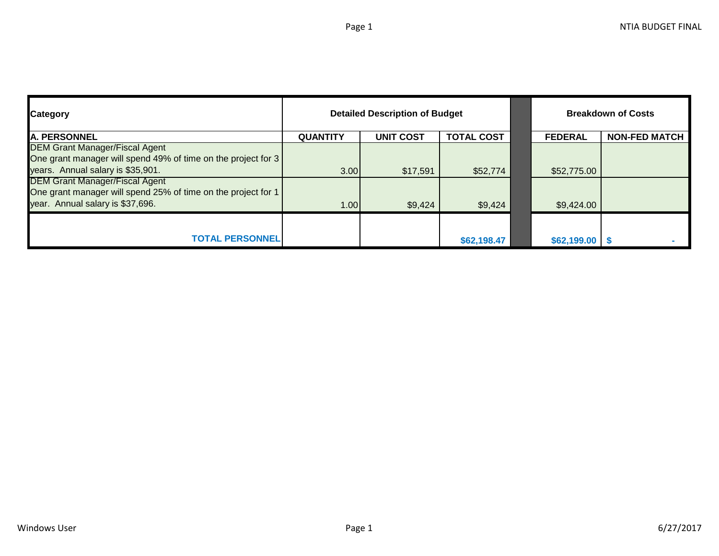| <b>Category</b>                                               |                 | <b>Detailed Description of Budget</b> | <b>Breakdown of Costs</b> |                   |                      |
|---------------------------------------------------------------|-----------------|---------------------------------------|---------------------------|-------------------|----------------------|
| <b>A. PERSONNEL</b>                                           | <b>QUANTITY</b> | <b>UNIT COST</b>                      | <b>TOTAL COST</b>         | <b>FEDERAL</b>    | <b>NON-FED MATCH</b> |
| <b>DEM Grant Manager/Fiscal Agent</b>                         |                 |                                       |                           |                   |                      |
| One grant manager will spend 49% of time on the project for 3 |                 |                                       |                           |                   |                      |
| years. Annual salary is \$35,901.                             | 3.00            | \$17,591                              | \$52,774                  | \$52,775.00       |                      |
| DEM Grant Manager/Fiscal Agent                                |                 |                                       |                           |                   |                      |
| One grant manager will spend 25% of time on the project for 1 |                 |                                       |                           |                   |                      |
| year. Annual salary is \$37,696.                              | 1.00            | \$9,424                               | \$9,424                   | \$9,424.00        |                      |
|                                                               |                 |                                       |                           |                   |                      |
| <b>TOTAL PERSONNEL</b>                                        |                 |                                       | \$62,198.47               | $$62,199.00$ \ \$ |                      |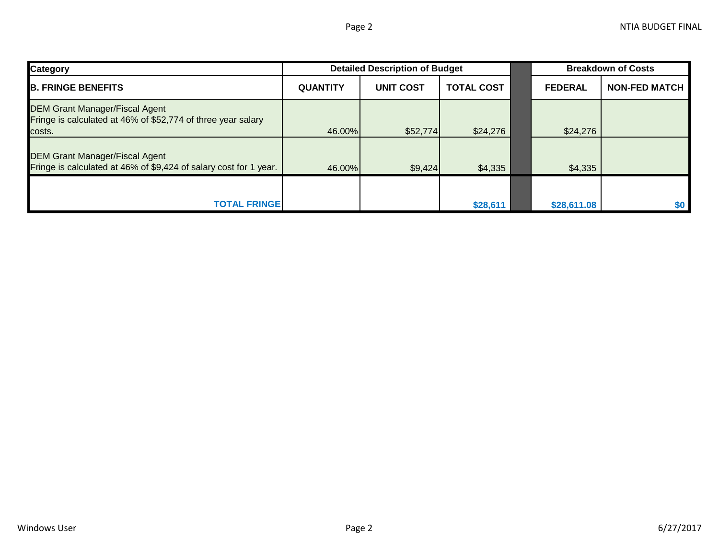| <b>Category</b>                                                                                                 | <b>Detailed Description of Budget</b>                    |          |          |                                        | <b>Breakdown of Costs</b> |     |  |
|-----------------------------------------------------------------------------------------------------------------|----------------------------------------------------------|----------|----------|----------------------------------------|---------------------------|-----|--|
| <b>B. FRINGE BENEFITS</b>                                                                                       | <b>UNIT COST</b><br><b>QUANTITY</b><br><b>TOTAL COST</b> |          |          | <b>NON-FED MATCH</b><br><b>FEDERAL</b> |                           |     |  |
| <b>DEM Grant Manager/Fiscal Agent</b><br>Fringe is calculated at 46% of \$52,774 of three year salary<br>costs. | 46.00%                                                   | \$52,774 | \$24,276 |                                        | \$24,276                  |     |  |
| <b>DEM Grant Manager/Fiscal Agent</b><br>Fringe is calculated at 46% of \$9,424 of salary cost for 1 year.      | 46.00%                                                   | \$9,424  | \$4,335  |                                        | \$4,335                   |     |  |
| <b>TOTAL FRINGE</b>                                                                                             |                                                          |          | \$28,611 |                                        | \$28,611.08               | \$0 |  |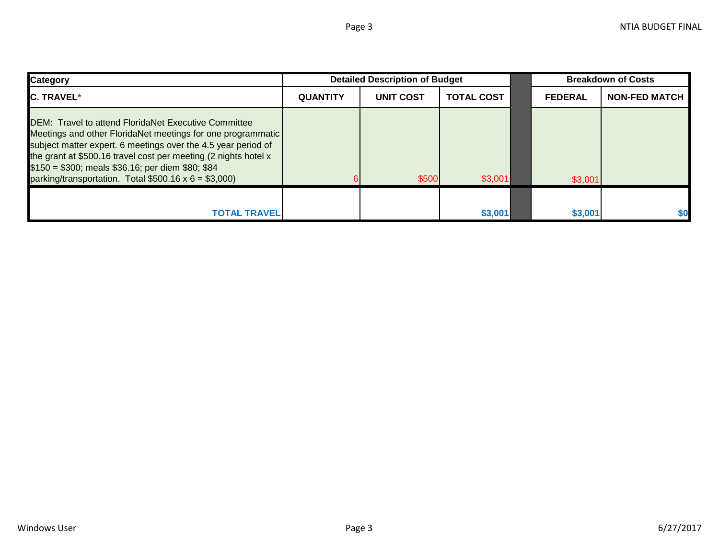| <b>Category</b>                                                                                                                                                                                                                                                                                                                                                                    | <b>Detailed Description of Budget</b> |                  |                   |  | <b>Breakdown of Costs</b> |                      |  |
|------------------------------------------------------------------------------------------------------------------------------------------------------------------------------------------------------------------------------------------------------------------------------------------------------------------------------------------------------------------------------------|---------------------------------------|------------------|-------------------|--|---------------------------|----------------------|--|
| <b>C. TRAVEL*</b>                                                                                                                                                                                                                                                                                                                                                                  | <b>QUANTITY</b>                       | <b>UNIT COST</b> | <b>TOTAL COST</b> |  | <b>FEDERAL</b>            | <b>NON-FED MATCH</b> |  |
| <b>IDEM: Travel to attend FloridaNet Executive Committee</b><br>Meetings and other FloridaNet meetings for one programmatic<br>subject matter expert. 6 meetings over the 4.5 year period of<br>the grant at \$500.16 travel cost per meeting (2 nights hotel x<br>$$150 = $300$ ; meals \$36.16; per diem \$80; \$84<br>parking/transportation. Total $$500.16 \times 6 = $3,000$ |                                       | \$500            | \$3,001           |  | \$3,001                   |                      |  |
|                                                                                                                                                                                                                                                                                                                                                                                    |                                       |                  |                   |  |                           |                      |  |
| <b>TOTAL TRAVEL</b>                                                                                                                                                                                                                                                                                                                                                                |                                       |                  | \$3,001           |  | \$3,001                   | \$0                  |  |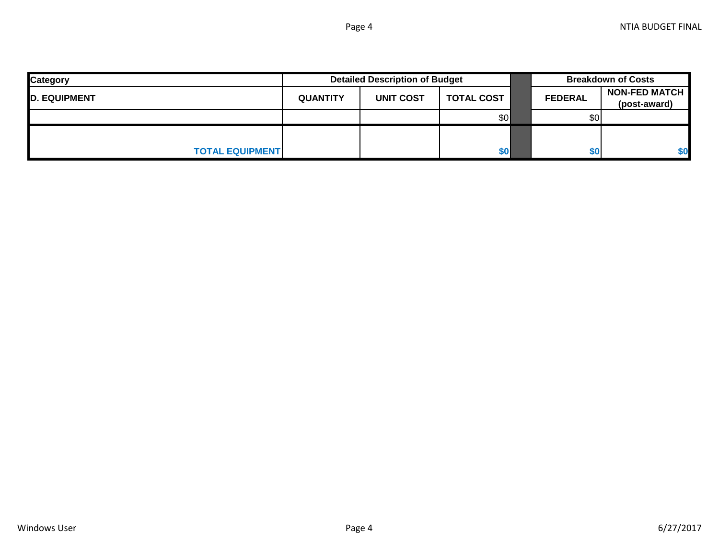| <b>Category</b>        |                 | <b>Detailed Description of Budget</b> |                   | <b>Breakdown of Costs</b> |                                      |  |
|------------------------|-----------------|---------------------------------------|-------------------|---------------------------|--------------------------------------|--|
| <b>D. EQUIPMENT</b>    | <b>QUANTITY</b> | <b>UNIT COST</b>                      | <b>TOTAL COST</b> | <b>FEDERAL</b>            | <b>NON-FED MATCH</b><br>(post-award) |  |
|                        |                 |                                       | \$0               | \$0                       |                                      |  |
|                        |                 |                                       |                   |                           |                                      |  |
| <b>TOTAL EQUIPMENT</b> |                 |                                       | \$0               | \$0                       | \$0                                  |  |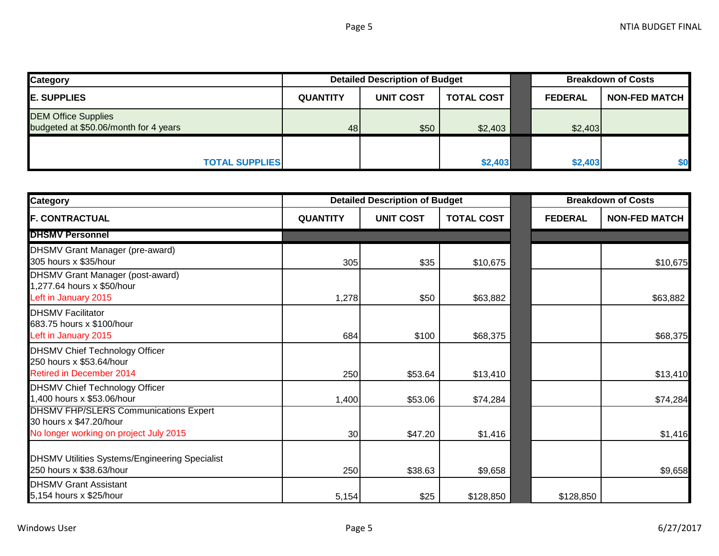| <b>Category</b>                                                     |                 | <b>Detailed Description of Budget</b> |                   | <b>Breakdown of Costs</b> |                      |  |
|---------------------------------------------------------------------|-----------------|---------------------------------------|-------------------|---------------------------|----------------------|--|
| <b>E. SUPPLIES</b>                                                  | <b>QUANTITY</b> | <b>UNIT COST</b>                      | <b>TOTAL COST</b> | <b>FEDERAL</b>            | <b>NON-FED MATCH</b> |  |
| <b>DEM Office Supplies</b><br>budgeted at \$50.06/month for 4 years | 48              | \$50                                  | \$2,403           | \$2,403                   |                      |  |
|                                                                     |                 |                                       |                   |                           | \$0                  |  |
| <b>TOTAL SUPPLIES</b>                                               |                 |                                       | \$2,403           | \$2,403                   |                      |  |

| <b>Category</b>                                                                                                   |                 | <b>Detailed Description of Budget</b> |                   |  | <b>Breakdown of Costs</b> |                      |
|-------------------------------------------------------------------------------------------------------------------|-----------------|---------------------------------------|-------------------|--|---------------------------|----------------------|
| <b>F. CONTRACTUAL</b>                                                                                             | <b>QUANTITY</b> | <b>UNIT COST</b>                      | <b>TOTAL COST</b> |  | <b>FEDERAL</b>            | <b>NON-FED MATCH</b> |
| <b>DHSMV Personnel</b>                                                                                            |                 |                                       |                   |  |                           |                      |
| <b>DHSMV Grant Manager (pre-award)</b><br>305 hours x \$35/hour                                                   | 305             | \$35                                  | \$10,675          |  |                           | \$10,675             |
| <b>DHSMV Grant Manager (post-award)</b><br>1,277.64 hours x \$50/hour<br>Left in January 2015                     | 1,278           | \$50                                  | \$63,882          |  |                           | \$63,882             |
| <b>DHSMV Facilitator</b><br>683.75 hours x \$100/hour<br>Left in January 2015                                     | 684             | \$100                                 | \$68,375          |  |                           | \$68,375             |
| <b>DHSMV Chief Technology Officer</b><br>250 hours x \$53.64/hour<br><b>Retired in December 2014</b>              | 250             | \$53.64                               | \$13,410          |  |                           | \$13,410             |
| <b>DHSMV Chief Technology Officer</b><br>1,400 hours x \$53.06/hour                                               | 1,400           | \$53.06                               | \$74,284          |  |                           | \$74,284             |
| <b>DHSMV FHP/SLERS Communications Expert</b><br>30 hours x \$47.20/hour<br>No longer working on project July 2015 | 30              | \$47.20                               | \$1,416           |  |                           | \$1,416              |
| <b>DHSMV Utilities Systems/Engineering Specialist</b><br>250 hours x \$38.63/hour                                 | 250             | \$38.63                               | \$9,658           |  |                           | \$9,658              |
| <b>DHSMV Grant Assistant</b><br>5,154 hours x \$25/hour                                                           | 5,154           | \$25                                  | \$128,850         |  | \$128,850                 |                      |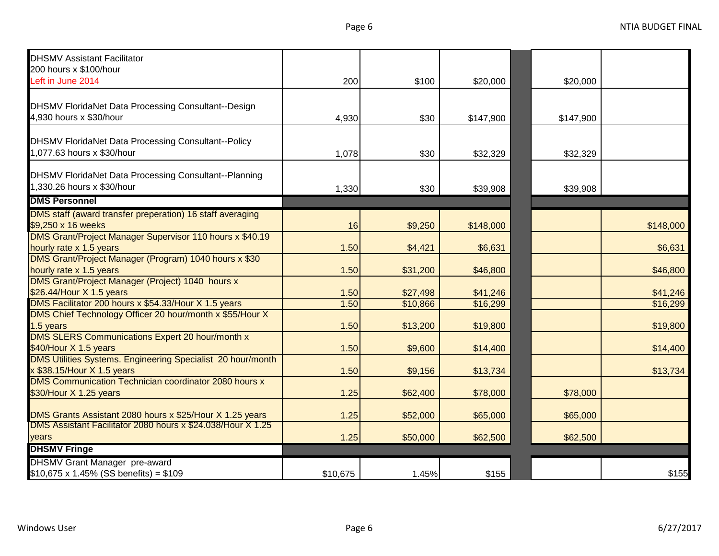| <b>DHSMV Assistant Facilitator</b>                                                                                      |          |          |           |           |           |
|-------------------------------------------------------------------------------------------------------------------------|----------|----------|-----------|-----------|-----------|
| 200 hours x \$100/hour                                                                                                  |          |          |           |           |           |
| Left in June 2014                                                                                                       | 200      | \$100    | \$20,000  | \$20,000  |           |
|                                                                                                                         |          |          |           |           |           |
| DHSMV FloridaNet Data Processing Consultant--Design                                                                     |          |          |           |           |           |
| 4,930 hours x \$30/hour                                                                                                 | 4,930    | \$30     | \$147,900 | \$147,900 |           |
|                                                                                                                         |          |          |           |           |           |
| DHSMV FloridaNet Data Processing Consultant--Policy                                                                     |          |          |           |           |           |
| 1,077.63 hours x \$30/hour                                                                                              | 1,078    | \$30     | \$32,329  | \$32,329  |           |
| DHSMV FloridaNet Data Processing Consultant--Planning                                                                   |          |          |           |           |           |
| 1,330.26 hours x \$30/hour                                                                                              |          | \$30     |           |           |           |
| <b>DMS Personnel</b>                                                                                                    | 1,330    |          | \$39,908  | \$39,908  |           |
|                                                                                                                         |          |          |           |           |           |
| DMS staff (award transfer preperation) 16 staff averaging<br>\$9,250 x 16 weeks                                         |          |          |           |           |           |
| DMS Grant/Project Manager Supervisor 110 hours x \$40.19                                                                | 16       | \$9,250  | \$148,000 |           | \$148,000 |
| hourly rate x 1.5 years                                                                                                 | 1.50     |          | \$6,631   |           | \$6,631   |
| DMS Grant/Project Manager (Program) 1040 hours x \$30                                                                   |          | \$4,421  |           |           |           |
| hourly rate x 1.5 years                                                                                                 | 1.50     | \$31,200 | \$46,800  |           | \$46,800  |
| DMS Grant/Project Manager (Project) 1040 hours x                                                                        |          |          |           |           |           |
| \$26.44/Hour X 1.5 years                                                                                                | 1.50     | \$27,498 | \$41,246  |           | \$41,246  |
| DMS Facilitator 200 hours x \$54.33/Hour X 1.5 years                                                                    | 1.50     | \$10,866 | \$16,299  |           | \$16,299  |
| DMS Chief Technology Officer 20 hour/month x \$55/Hour X                                                                |          |          |           |           |           |
| 1.5 years                                                                                                               | 1.50     | \$13,200 | \$19,800  |           | \$19,800  |
| <b>DMS SLERS Communications Expert 20 hour/month x</b>                                                                  |          |          |           |           |           |
| \$40/Hour X 1.5 years                                                                                                   | 1.50     | \$9,600  | \$14,400  |           | \$14,400  |
| DMS Utilities Systems. Engineering Specialist 20 hour/month                                                             |          |          |           |           |           |
| x \$38.15/Hour X 1.5 years                                                                                              | 1.50     | \$9,156  | \$13,734  |           | \$13,734  |
| <b>DMS Communication Technician coordinator 2080 hours x</b>                                                            |          |          |           |           |           |
| \$30/Hour X 1.25 years                                                                                                  | 1.25     | \$62,400 | \$78,000  | \$78,000  |           |
|                                                                                                                         |          |          |           |           |           |
| DMS Grants Assistant 2080 hours x \$25/Hour X 1.25 years<br>DMS Assistant Facilitator 2080 hours x \$24.038/Hour X 1.25 | 1.25     | \$52,000 | \$65,000  | \$65,000  |           |
| years                                                                                                                   |          |          |           |           |           |
|                                                                                                                         | 1.25     | \$50,000 | \$62,500  | \$62,500  |           |
| <b>DHSMV Fringe</b>                                                                                                     |          |          |           |           |           |
| <b>DHSMV Grant Manager pre-award</b>                                                                                    |          |          |           |           |           |
| $$10,675 \times 1.45\%$ (SS benefits) = \$109                                                                           | \$10,675 | 1.45%    | \$155     |           | \$155     |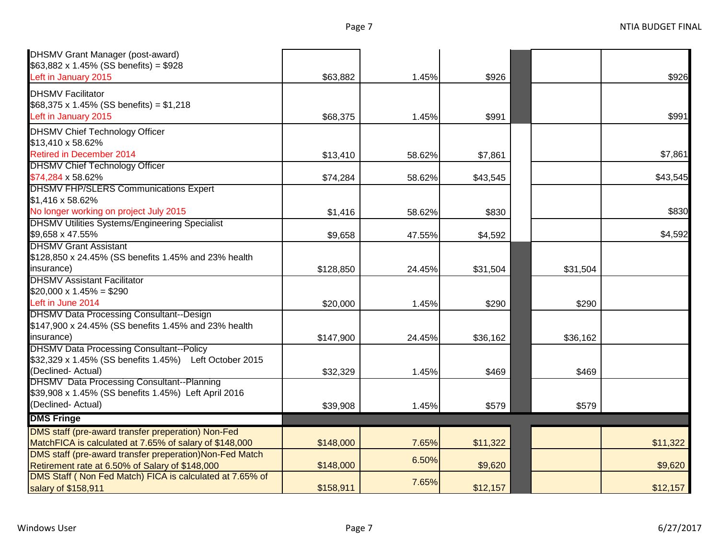| <b>DHSMV Grant Manager (post-award)</b><br>$$63,882 \times 1.45\%$ (SS benefits) = \$928                              |           |        |          |          |          |
|-----------------------------------------------------------------------------------------------------------------------|-----------|--------|----------|----------|----------|
| Left in January 2015                                                                                                  | \$63,882  | 1.45%  | \$926    |          | \$926    |
| <b>DHSMV Facilitator</b><br>\$68,375 x 1.45% (SS benefits) = $$1,218$<br>Left in January 2015                         | \$68,375  | 1.45%  | \$991    |          | \$991    |
| <b>DHSMV Chief Technology Officer</b><br>\$13,410 x 58.62%                                                            |           |        |          |          |          |
| <b>Retired in December 2014</b>                                                                                       | \$13,410  | 58.62% | \$7,861  |          | \$7,861  |
| <b>DHSMV Chief Technology Officer</b><br>\$74,284 x 58.62%                                                            | \$74,284  | 58.62% | \$43,545 |          | \$43,545 |
| <b>DHSMV FHP/SLERS Communications Expert</b><br>\$1,416 x 58.62%                                                      |           |        |          |          |          |
| No longer working on project July 2015                                                                                | \$1,416   | 58.62% | \$830    |          | \$830    |
| <b>DHSMV Utilities Systems/Engineering Specialist</b><br>\$9,658 x 47.55%                                             | \$9,658   | 47.55% | \$4,592  |          | \$4,592  |
| <b>DHSMV Grant Assistant</b><br>\$128,850 x 24.45% (SS benefits 1.45% and 23% health                                  |           |        |          |          |          |
| insurance)                                                                                                            | \$128,850 | 24.45% | \$31,504 | \$31,504 |          |
| <b>DHSMV Assistant Facilitator</b>                                                                                    |           |        |          |          |          |
| $$20,000 \times 1.45\% = $290$                                                                                        |           |        |          |          |          |
| Left in June 2014                                                                                                     | \$20,000  | 1.45%  | \$290    | \$290    |          |
| <b>DHSMV Data Processing Consultant--Design</b><br>\$147,900 x 24.45% (SS benefits 1.45% and 23% health<br>insurance) | \$147,900 | 24.45% | \$36,162 | \$36,162 |          |
| <b>DHSMV Data Processing Consultant--Policy</b><br>\$32,329 x 1.45% (SS benefits 1.45%) Left October 2015             |           |        |          |          |          |
| (Declined- Actual)                                                                                                    | \$32,329  | 1.45%  | \$469    | \$469    |          |
| <b>DHSMV</b> Data Processing Consultant--Planning<br>\$39,908 x 1.45% (SS benefits 1.45%) Left April 2016             |           |        |          |          |          |
| (Declined- Actual)                                                                                                    | \$39,908  | 1.45%  | \$579    | \$579    |          |
| <b>DMS Fringe</b>                                                                                                     |           |        |          |          |          |
| DMS staff (pre-award transfer preperation) Non-Fed                                                                    |           |        |          |          |          |
| MatchFICA is calculated at 7.65% of salary of \$148,000                                                               | \$148,000 | 7.65%  | \$11,322 |          | \$11,322 |
| DMS staff (pre-award transfer preperation) Non-Fed Match<br>Retirement rate at 6.50% of Salary of \$148,000           | \$148,000 | 6.50%  | \$9,620  |          | \$9,620  |
| DMS Staff (Non Fed Match) FICA is calculated at 7.65% of<br>salary of \$158,911                                       | \$158,911 | 7.65%  | \$12,157 |          | \$12,157 |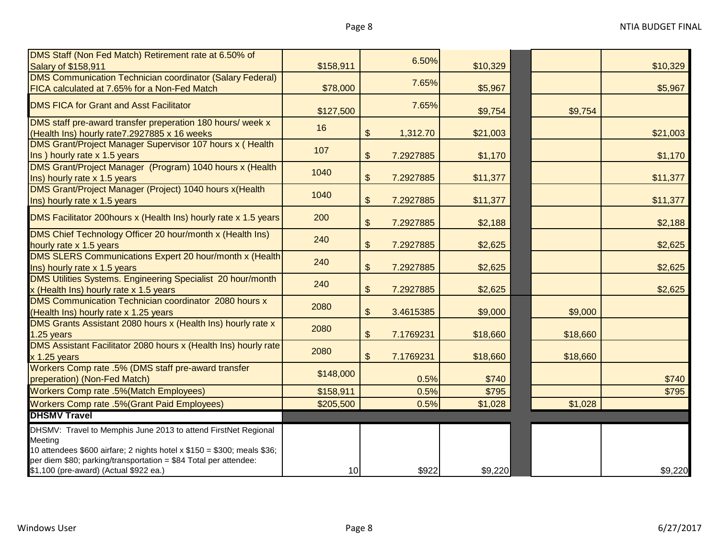| DMS Staff (Non Fed Match) Retirement rate at 6.50% of                                                                                                                                                                    |           |               | 6.50%     |          |          |          |
|--------------------------------------------------------------------------------------------------------------------------------------------------------------------------------------------------------------------------|-----------|---------------|-----------|----------|----------|----------|
| <b>Salary of \$158,911</b>                                                                                                                                                                                               | \$158,911 |               |           | \$10,329 |          | \$10,329 |
| <b>DMS Communication Technician coordinator (Salary Federal)</b><br>FICA calculated at 7.65% for a Non-Fed Match                                                                                                         | \$78,000  |               | 7.65%     | \$5,967  |          | \$5,967  |
| <b>DMS FICA for Grant and Asst Facilitator</b>                                                                                                                                                                           | \$127,500 |               | 7.65%     | \$9,754  | \$9,754  |          |
| DMS staff pre-award transfer preperation 180 hours/ week x<br>(Health Ins) hourly rate7.2927885 x 16 weeks                                                                                                               | 16        | $\$\$         | 1,312.70  | \$21,003 |          | \$21,003 |
| DMS Grant/Project Manager Supervisor 107 hours x ( Health<br>Ins ) hourly rate x 1.5 years                                                                                                                               | 107       | $\$\$         | 7.2927885 | \$1,170  |          | \$1,170  |
| DMS Grant/Project Manager (Program) 1040 hours x (Health<br>Ins) hourly rate x 1.5 years                                                                                                                                 | 1040      | $\frac{1}{2}$ | 7.2927885 | \$11,377 |          | \$11,377 |
| DMS Grant/Project Manager (Project) 1040 hours x(Health<br>Ins) hourly rate x 1.5 years                                                                                                                                  | 1040      | $\$\$         | 7.2927885 | \$11,377 |          | \$11,377 |
| DMS Facilitator 200hours x (Health Ins) hourly rate x 1.5 years                                                                                                                                                          | 200       | $\frac{1}{2}$ | 7.2927885 | \$2,188  |          | \$2,188  |
| DMS Chief Technology Officer 20 hour/month x (Health Ins)<br>hourly rate x 1.5 years                                                                                                                                     | 240       | $\frac{1}{2}$ | 7.2927885 | \$2,625  |          | \$2,625  |
| DMS SLERS Communications Expert 20 hour/month x (Health<br>Ins) hourly rate x 1.5 years                                                                                                                                  | 240       | $\frac{1}{2}$ | 7.2927885 | \$2,625  |          | \$2,625  |
| DMS Utilities Systems. Engineering Specialist 20 hour/month<br>x (Health Ins) hourly rate x 1.5 years                                                                                                                    | 240       | $\frac{1}{2}$ | 7.2927885 | \$2,625  |          | \$2,625  |
| <b>DMS Communication Technician coordinator 2080 hours x</b><br>(Health Ins) hourly rate x 1.25 years                                                                                                                    | 2080      | $\frac{1}{2}$ | 3.4615385 | \$9,000  | \$9,000  |          |
| DMS Grants Assistant 2080 hours x (Health Ins) hourly rate x<br>1.25 years                                                                                                                                               | 2080      | $\$\$         | 7.1769231 | \$18,660 | \$18,660 |          |
| DMS Assistant Facilitator 2080 hours x (Health Ins) hourly rate<br>$x$ 1.25 years                                                                                                                                        | 2080      | \$            | 7.1769231 | \$18,660 | \$18,660 |          |
| Workers Comp rate .5% (DMS staff pre-award transfer<br>preperation) (Non-Fed Match)                                                                                                                                      | \$148,000 |               | 0.5%      | \$740    |          | \$740    |
| <b>Workers Comp rate .5%(Match Employees)</b>                                                                                                                                                                            | \$158,911 |               | 0.5%      | \$795    |          | \$795    |
| <b>Workers Comp rate .5% (Grant Paid Employees)</b>                                                                                                                                                                      | \$205,500 |               | 0.5%      | \$1,028  | \$1,028  |          |
| <b>DHSMV Travel</b>                                                                                                                                                                                                      |           |               |           |          |          |          |
| DHSMV: Travel to Memphis June 2013 to attend FirstNet Regional<br>Meeting<br>10 attendees \$600 airfare; 2 nights hotel x \$150 = \$300; meals \$36;<br>per diem \$80; parking/transportation = \$84 Total per attendee: |           |               |           |          |          |          |
| \$1,100 (pre-award) (Actual \$922 ea.)                                                                                                                                                                                   | 10        |               | \$922     | \$9,220  |          | \$9,220  |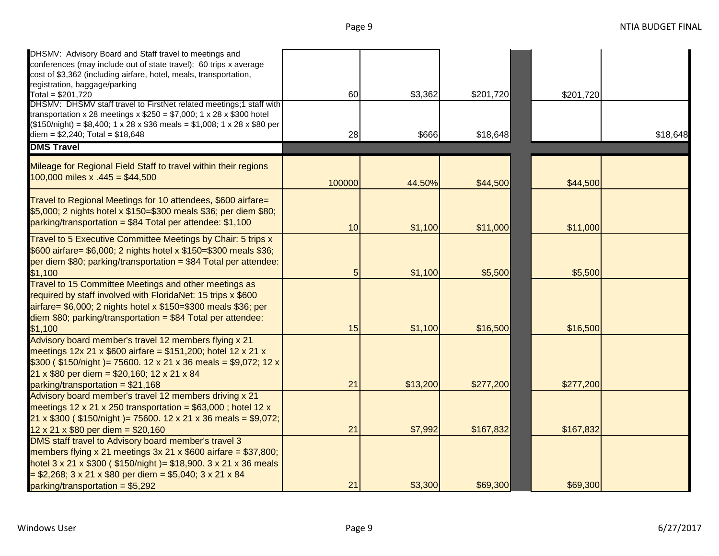| DHSMV: Advisory Board and Staff travel to meetings and<br>conferences (may include out of state travel): 60 trips x average<br>cost of \$3,362 (including airfare, hotel, meals, transportation,<br>registration, baggage/parking                                                                    |        |          |           |           |          |
|------------------------------------------------------------------------------------------------------------------------------------------------------------------------------------------------------------------------------------------------------------------------------------------------------|--------|----------|-----------|-----------|----------|
| Total = $$201,720$                                                                                                                                                                                                                                                                                   | 60     | \$3,362  | \$201,720 | \$201,720 |          |
| DHSMV: DHSMV staff travel to FirstNet related meetings;1 staff with<br>transportation x 28 meetings x $$250 = $7,000$ ; 1 x 28 x \$300 hotel<br>$($150/night) = $8,400; 1 \times 28 \times $36 \text{ meals} = $1,008; 1 \times 28 \times $80 \text{ per}$<br>diem = $$2,240$ ; Total = $$18,648$    | 28     | \$666    | \$18,648  |           | \$18,648 |
| <b>DMS Travel</b>                                                                                                                                                                                                                                                                                    |        |          |           |           |          |
| Mileage for Regional Field Staff to travel within their regions<br>100,000 miles x $.445 = $44,500$                                                                                                                                                                                                  | 100000 | 44.50%   | \$44,500  | \$44,500  |          |
| Travel to Regional Meetings for 10 attendees, \$600 airfare=<br>\$5,000; 2 nights hotel x \$150=\$300 meals \$36; per diem \$80;<br>parking/transportation = \$84 Total per attendee: \$1,100                                                                                                        | 10     | \$1,100  | \$11,000  | \$11,000  |          |
| Travel to 5 Executive Committee Meetings by Chair: 5 trips x<br>\$600 airfare= \$6,000; 2 nights hotel x \$150=\$300 meals \$36;<br>per diem $$80$ ; parking/transportation = $$84$ Total per attendee:                                                                                              | 5      | \$1,100  | \$5,500   | \$5,500   |          |
| \$1,100<br>Travel to 15 Committee Meetings and other meetings as<br>required by staff involved with FloridaNet: 15 trips x \$600<br>airfare= \$6,000; 2 nights hotel x \$150=\$300 meals \$36; per<br>$diem$ \$80; parking/transportation = \$84 Total per attendee:<br>\$1,100                      | 15     | \$1,100  | \$16,500  | \$16,500  |          |
| Advisory board member's travel 12 members flying x 21<br>meetings $12x 21 x $600$ airfare = \$151,200; hotel 12 x 21 x<br>\$300 (\$150/night) = 75600. 12 x 21 x 36 meals = \$9,072; 12 x<br>21 x \$80 per diem = \$20,160; 12 x 21 x 84<br>parking/transportation = \$21,168                        | 21     | \$13,200 | \$277,200 | \$277,200 |          |
| Advisory board member's travel 12 members driving x 21<br>meetings 12 x 21 x 250 transportation = $$63,000$ ; hotel 12 x<br>21 x \$300 ( \$150/night )= 75600. 12 x 21 x 36 meals = \$9,072;<br>$12 \times 21 \times $80$ per diem = \$20,160                                                        | 21     | \$7,992  | \$167,832 | \$167,832 |          |
| DMS staff travel to Advisory board member's travel 3<br>members flying x 21 meetings $3x 21 x $600$ airfare = \$37,800;<br>hotel 3 x 21 x $$300$ ( $$150/night$ ) = $$18,900$ . 3 x 21 x 36 meals<br>$=$ \$2,268; 3 x 21 x \$80 per diem = \$5,040; 3 x 21 x 84<br>$parking/transportation = $5,292$ | 21     | \$3,300  | \$69,300  | \$69,300  |          |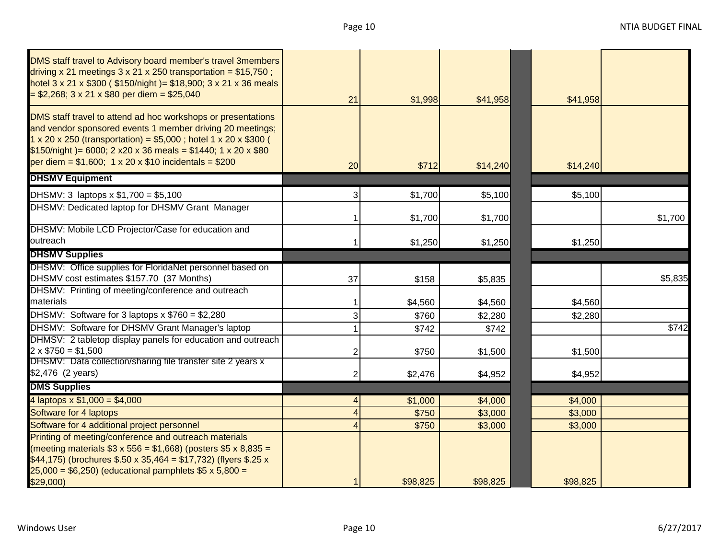| DMS staff travel to Advisory board member's travel 3members<br>driving x 21 meetings $3 \times 21 \times 250$ transportation = \$15,750;<br>hotel 3 x 21 x \$300 ( \$150/night )= \$18,900; 3 x 21 x 36 meals<br>$= $2,268; 3 \times 21 \times $80$ per diem = \$25,040                                                                                 | 21 | \$1,998  | \$41,958 | \$41,958 |         |
|---------------------------------------------------------------------------------------------------------------------------------------------------------------------------------------------------------------------------------------------------------------------------------------------------------------------------------------------------------|----|----------|----------|----------|---------|
| DMS staff travel to attend ad hoc workshops or presentations<br>and vendor sponsored events 1 member driving 20 meetings;<br>$1 \times 20 \times 250$ (transportation) = \$5,000; hotel $1 \times 20 \times $300$ (<br>$$150/night$ = 6000; 2 x20 x 36 meals = \$1440; 1 x 20 x \$80<br>per diem = $$1,600; 1 \times 20 \times $10$ incidentals = \$200 | 20 | \$712    | \$14,240 | \$14,240 |         |
| <b>DHSMV Equipment</b>                                                                                                                                                                                                                                                                                                                                  |    |          |          |          |         |
| DHSMV: 3 laptops $x$ \$1,700 = \$5,100                                                                                                                                                                                                                                                                                                                  | 3  | \$1,700  | \$5,100  | \$5,100  |         |
| DHSMV: Dedicated laptop for DHSMV Grant Manager                                                                                                                                                                                                                                                                                                         |    | \$1,700  | \$1,700  |          | \$1,700 |
| DHSMV: Mobile LCD Projector/Case for education and                                                                                                                                                                                                                                                                                                      |    |          |          |          |         |
| outreach                                                                                                                                                                                                                                                                                                                                                |    | \$1,250  | \$1,250  | \$1,250  |         |
| <b>DHSMV Supplies</b>                                                                                                                                                                                                                                                                                                                                   |    |          |          |          |         |
| DHSMV: Office supplies for FloridaNet personnel based on                                                                                                                                                                                                                                                                                                |    |          |          |          |         |
| DHSMV cost estimates \$157.70 (37 Months)                                                                                                                                                                                                                                                                                                               | 37 | \$158    | \$5,835  |          | \$5,835 |
| DHSMV: Printing of meeting/conference and outreach                                                                                                                                                                                                                                                                                                      |    |          |          |          |         |
| materials                                                                                                                                                                                                                                                                                                                                               |    | \$4,560  | \$4,560  | \$4,560  |         |
| DHSMV: Software for 3 laptops $x$ \$760 = \$2,280                                                                                                                                                                                                                                                                                                       |    | \$760    | \$2,280  | \$2,280  |         |
| DHSMV: Software for DHSMV Grant Manager's laptop                                                                                                                                                                                                                                                                                                        |    | \$742    | \$742    |          | \$742   |
| DHMSV: 2 tabletop display panels for education and outreach                                                                                                                                                                                                                                                                                             |    |          |          |          |         |
| $2 \times $750 = $1,500$                                                                                                                                                                                                                                                                                                                                |    | \$750    | \$1,500  | \$1,500  |         |
| DHSMV: Data collection/sharing file transfer site 2 years x                                                                                                                                                                                                                                                                                             |    |          |          |          |         |
| \$2,476 (2 years)                                                                                                                                                                                                                                                                                                                                       |    | \$2,476  | \$4,952  | \$4,952  |         |
| <b>DMS Supplies</b>                                                                                                                                                                                                                                                                                                                                     |    |          |          |          |         |
| 4 laptops $x $1,000 = $4,000$                                                                                                                                                                                                                                                                                                                           |    | \$1,000  | \$4,000  | \$4,000  |         |
| Software for 4 laptops                                                                                                                                                                                                                                                                                                                                  |    | \$750    | \$3,000  | \$3,000  |         |
| Software for 4 additional project personnel                                                                                                                                                                                                                                                                                                             |    | \$750    | \$3,000  | \$3,000  |         |
| Printing of meeting/conference and outreach materials<br>(meeting materials $$3 \times 556 = $1,668$ ) (posters \$5 x 8,835 =<br>\$44,175) (brochures \$.50 x 35,464 = \$17,732) (flyers \$.25 x<br>$25,000 = $6,250$ (educational pamphlets \$5 x 5,800 =                                                                                              |    |          |          |          |         |
| \$29,000                                                                                                                                                                                                                                                                                                                                                |    | \$98,825 | \$98,825 | \$98,825 |         |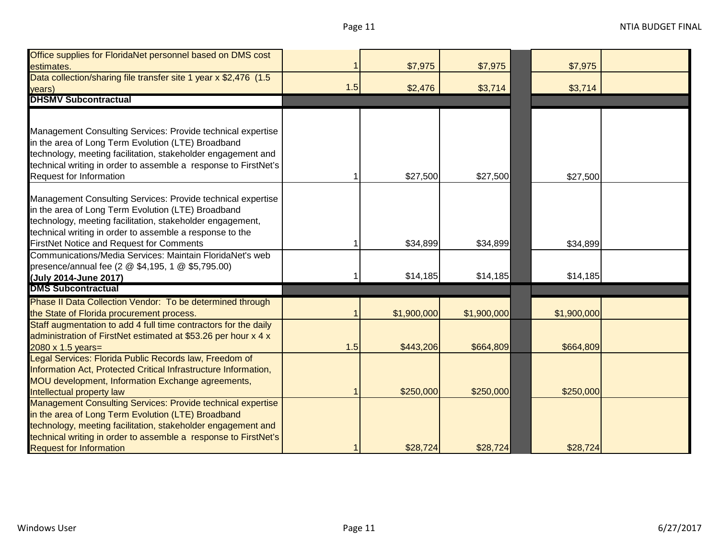| Office supplies for FloridaNet personnel based on DMS cost                                                                      |     |             |             |             |
|---------------------------------------------------------------------------------------------------------------------------------|-----|-------------|-------------|-------------|
| estimates.                                                                                                                      |     | \$7,975     | \$7,975     | \$7,975     |
| Data collection/sharing file transfer site 1 year x \$2,476 (1.5                                                                |     |             |             |             |
| years)                                                                                                                          | 1.5 | \$2,476     | \$3,714     | \$3,714     |
| <b>DHSMV Subcontractual</b>                                                                                                     |     |             |             |             |
|                                                                                                                                 |     |             |             |             |
|                                                                                                                                 |     |             |             |             |
| Management Consulting Services: Provide technical expertise                                                                     |     |             |             |             |
| in the area of Long Term Evolution (LTE) Broadband                                                                              |     |             |             |             |
| technology, meeting facilitation, stakeholder engagement and<br>technical writing in order to assemble a response to FirstNet's |     |             |             |             |
| Request for Information                                                                                                         |     | \$27,500    | \$27,500    | \$27,500    |
|                                                                                                                                 |     |             |             |             |
| Management Consulting Services: Provide technical expertise                                                                     |     |             |             |             |
| in the area of Long Term Evolution (LTE) Broadband                                                                              |     |             |             |             |
| technology, meeting facilitation, stakeholder engagement,                                                                       |     |             |             |             |
| technical writing in order to assemble a response to the                                                                        |     |             |             |             |
| <b>FirstNet Notice and Request for Comments</b>                                                                                 |     | \$34,899    | \$34,899    | \$34,899    |
| Communications/Media Services: Maintain FloridaNet's web                                                                        |     |             |             |             |
| presence/annual fee (2 @ \$4,195, 1 @ \$5,795.00)                                                                               |     |             |             |             |
| (July 2014-June 2017)                                                                                                           |     | \$14,185    | \$14,185    | \$14,185    |
| <b>DMS Subcontractual</b>                                                                                                       |     |             |             |             |
| Phase II Data Collection Vendor: To be determined through                                                                       |     |             |             |             |
| the State of Florida procurement process.                                                                                       |     | \$1,900,000 | \$1,900,000 | \$1,900,000 |
| Staff augmentation to add 4 full time contractors for the daily                                                                 |     |             |             |             |
| administration of FirstNet estimated at \$53.26 per hour x 4 x                                                                  |     |             |             |             |
| $2080 \times 1.5$ years=                                                                                                        | 1.5 | \$443,206   | \$664,809   | \$664,809   |
| Legal Services: Florida Public Records law, Freedom of                                                                          |     |             |             |             |
| Information Act, Protected Critical Infrastructure Information,                                                                 |     |             |             |             |
| MOU development, Information Exchange agreements,                                                                               |     |             |             |             |
| Intellectual property law                                                                                                       |     | \$250,000   | \$250,000   | \$250,000   |
| Management Consulting Services: Provide technical expertise                                                                     |     |             |             |             |
| in the area of Long Term Evolution (LTE) Broadband                                                                              |     |             |             |             |
| technology, meeting facilitation, stakeholder engagement and                                                                    |     |             |             |             |
| technical writing in order to assemble a response to FirstNet's                                                                 |     |             |             |             |
| <b>Request for Information</b>                                                                                                  |     | \$28,724    | \$28,724    | \$28,724    |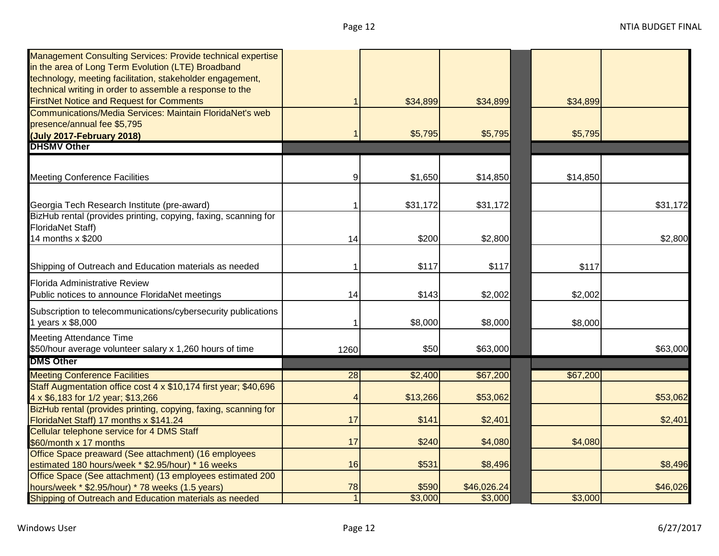| <b>Management Consulting Services: Provide technical expertise</b> |                 |          |             |          |          |
|--------------------------------------------------------------------|-----------------|----------|-------------|----------|----------|
| in the area of Long Term Evolution (LTE) Broadband                 |                 |          |             |          |          |
| technology, meeting facilitation, stakeholder engagement,          |                 |          |             |          |          |
| technical writing in order to assemble a response to the           |                 |          |             |          |          |
| <b>FirstNet Notice and Request for Comments</b>                    |                 | \$34,899 | \$34,899    | \$34,899 |          |
| Communications/Media Services: Maintain FloridaNet's web           |                 |          |             |          |          |
| presence/annual fee \$5,795                                        |                 |          |             |          |          |
| (July 2017-February 2018)                                          |                 | \$5,795  | \$5,795     | \$5,795  |          |
| <b>DHSMV Other</b>                                                 |                 |          |             |          |          |
|                                                                    |                 |          |             |          |          |
| <b>Meeting Conference Facilities</b>                               | 9               | \$1,650  | \$14,850    | \$14,850 |          |
|                                                                    |                 |          |             |          |          |
| Georgia Tech Research Institute (pre-award)                        |                 | \$31,172 | \$31,172    |          | \$31,172 |
| BizHub rental (provides printing, copying, faxing, scanning for    |                 |          |             |          |          |
| <b>FloridaNet Staff)</b>                                           |                 |          |             |          |          |
| 14 months x \$200                                                  | 14              | \$200    | \$2,800     |          | \$2,800  |
|                                                                    |                 |          |             |          |          |
| Shipping of Outreach and Education materials as needed             |                 | \$117    | \$117       | \$117    |          |
| Florida Administrative Review                                      |                 |          |             |          |          |
| Public notices to announce FloridaNet meetings                     | 14              | \$143    | \$2,002     | \$2,002  |          |
|                                                                    |                 |          |             |          |          |
| Subscription to telecommunications/cybersecurity publications      |                 |          |             |          |          |
| 1 years x \$8,000                                                  |                 | \$8,000  | \$8,000     | \$8,000  |          |
| <b>Meeting Attendance Time</b>                                     |                 |          |             |          |          |
| \$50/hour average volunteer salary x 1,260 hours of time           | 1260            | \$50     | \$63,000    |          | \$63,000 |
| <b>DMS Other</b>                                                   |                 |          |             |          |          |
| <b>Meeting Conference Facilities</b>                               | $\overline{28}$ | \$2,400  | \$67,200    | \$67,200 |          |
| Staff Augmentation office cost 4 x \$10,174 first year; \$40,696   |                 |          |             |          |          |
| 4 x \$6,183 for 1/2 year; \$13,266                                 | 4               | \$13,266 | \$53,062    |          | \$53,062 |
| BizHub rental (provides printing, copying, faxing, scanning for    |                 |          |             |          |          |
| FloridaNet Staff) 17 months x \$141.24                             | 17              | \$141    | \$2,401     |          | \$2,401  |
| Cellular telephone service for 4 DMS Staff                         |                 |          |             |          |          |
| \$60/month x 17 months                                             | 17              | \$240    | \$4,080     | \$4,080  |          |
| Office Space preaward (See attachment) (16 employees               |                 |          |             |          |          |
| estimated 180 hours/week * \$2.95/hour) * 16 weeks                 | 16              | \$531    | \$8,496     |          | \$8,496  |
| Office Space (See attachment) (13 employees estimated 200          |                 |          |             |          |          |
| hours/week * \$2.95/hour) * 78 weeks (1.5 years)                   | 78              | \$590    | \$46,026.24 |          | \$46,026 |
| Shipping of Outreach and Education materials as needed             | $\mathbf{1}$    | \$3,000  | \$3,000     | \$3,000  |          |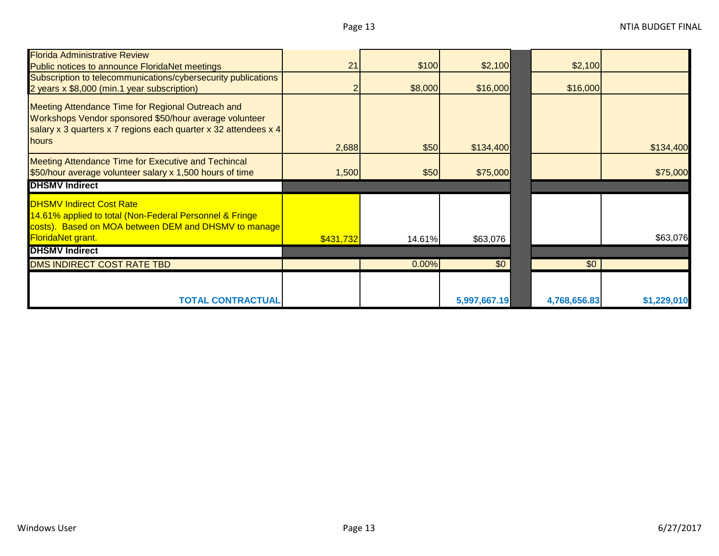| <b>Florida Administrative Review</b>                                                                                                                                             |           |         |           |                 |           |
|----------------------------------------------------------------------------------------------------------------------------------------------------------------------------------|-----------|---------|-----------|-----------------|-----------|
| <b>Public notices to announce FloridaNet meetings</b>                                                                                                                            | 21        | \$100   | \$2,100   | \$2,100         |           |
| Subscription to telecommunications/cybersecurity publications                                                                                                                    |           |         |           |                 |           |
| 2 years x \$8,000 (min.1 year subscription)                                                                                                                                      |           | \$8,000 | \$16,000  | \$16,000        |           |
| Meeting Attendance Time for Regional Outreach and<br>Workshops Vendor sponsored \$50/hour average volunteer<br>salary x 3 quarters x 7 regions each quarter x 32 attendees x $4$ |           |         |           |                 |           |
| <b>hours</b>                                                                                                                                                                     | 2,688     | \$50    | \$134,400 |                 | \$134,400 |
| Meeting Attendance Time for Executive and Techincal<br>\$50/hour average volunteer salary x 1,500 hours of time                                                                  | 1,500     | \$50    | \$75,000  |                 | \$75,000  |
| <b>DHSMV Indirect</b>                                                                                                                                                            |           |         |           |                 |           |
| <b>DHSMV Indirect Cost Rate</b><br>14.61% applied to total (Non-Federal Personnel & Fringe<br>costs). Based on MOA between DEM and DHSMV to manage<br><b>FloridaNet grant.</b>   | \$431,732 | 14.61%  | \$63,076  |                 | \$63,076  |
| <b>DHSMV Indirect</b>                                                                                                                                                            |           |         |           |                 |           |
| DMS INDIRECT COST RATE TBD                                                                                                                                                       |           | 0.00%   | \$0       | $\overline{50}$ |           |
|                                                                                                                                                                                  |           |         |           |                 |           |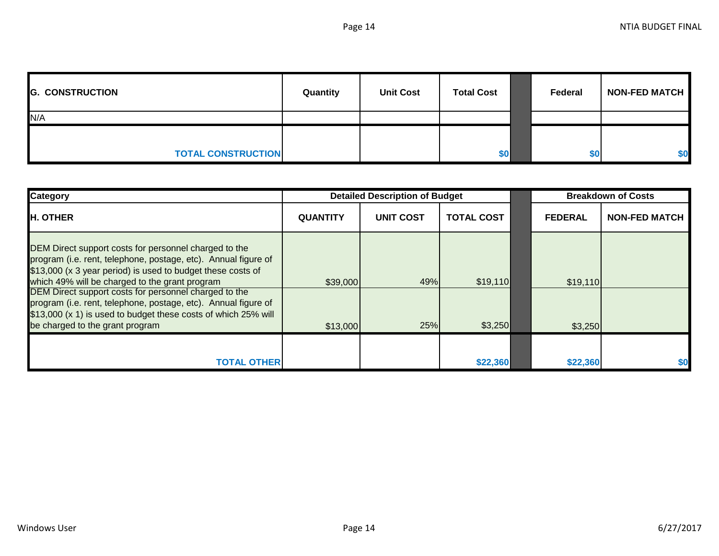| <b>G. CONSTRUCTION</b>    | Quantity | <b>Unit Cost</b> | <b>Total Cost</b> | Federal | <b>NON-FED MATCH</b> |
|---------------------------|----------|------------------|-------------------|---------|----------------------|
| N/A                       |          |                  |                   |         |                      |
|                           |          |                  |                   |         |                      |
| <b>TOTAL CONSTRUCTION</b> |          |                  | \$0               | \$0     | \$0                  |

| <b>Category</b>                                                                                                                                                                                                                          | <b>Detailed Description of Budget</b> |           |                   | <b>Breakdown of Costs</b> |                      |
|------------------------------------------------------------------------------------------------------------------------------------------------------------------------------------------------------------------------------------------|---------------------------------------|-----------|-------------------|---------------------------|----------------------|
| <b>H. OTHER</b>                                                                                                                                                                                                                          | <b>QUANTITY</b>                       | UNIT COST | <b>TOTAL COST</b> | <b>FEDERAL</b>            | <b>NON-FED MATCH</b> |
| DEM Direct support costs for personnel charged to the<br>program (i.e. rent, telephone, postage, etc). Annual figure of<br>\$13,000 (x 3 year period) is used to budget these costs of<br>which 49% will be charged to the grant program | \$39,000                              | 49%       | \$19,110          | \$19,110                  |                      |
| DEM Direct support costs for personnel charged to the<br>program (i.e. rent, telephone, postage, etc). Annual figure of<br>\$13,000 (x 1) is used to budget these costs of which 25% will<br>be charged to the grant program             | \$13,000                              | 25%       | \$3,250           | \$3,250                   |                      |
| TOTAL OTHERI                                                                                                                                                                                                                             |                                       |           | \$22,360          | \$22,360                  | \$0                  |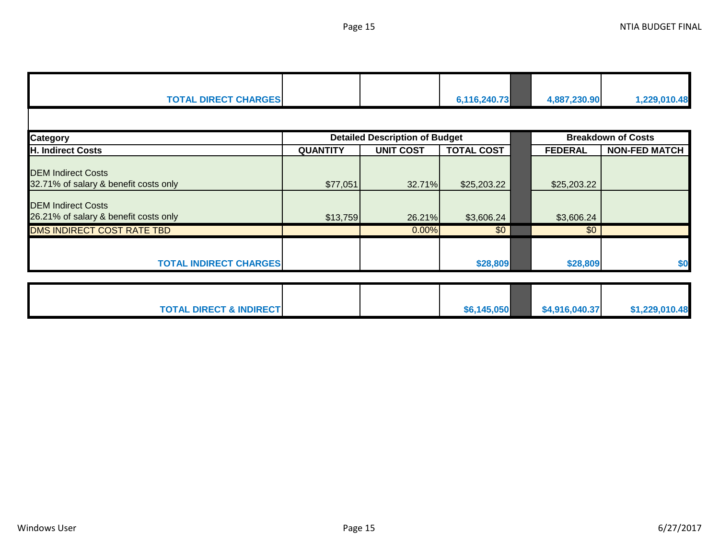| <b>TOTAL DIRECT CHARGES</b>                                        |                 |                                       | 6,116,240.73      | 4,887,230.90   | 1,229,010.48              |
|--------------------------------------------------------------------|-----------------|---------------------------------------|-------------------|----------------|---------------------------|
|                                                                    |                 |                                       |                   |                |                           |
| <b>Category</b>                                                    |                 | <b>Detailed Description of Budget</b> |                   |                | <b>Breakdown of Costs</b> |
| <b>H. Indirect Costs</b>                                           | <b>QUANTITY</b> | <b>UNIT COST</b>                      | <b>TOTAL COST</b> | <b>FEDERAL</b> | <b>NON-FED MATCH</b>      |
| <b>DEM Indirect Costs</b><br>32.71% of salary & benefit costs only | \$77,051        | 32.71%                                | \$25,203.22       | \$25,203.22    |                           |
| <b>DEM Indirect Costs</b><br>26.21% of salary & benefit costs only | \$13,759        | 26.21%                                | \$3,606.24        | \$3,606.24     |                           |
| DMS INDIRECT COST RATE TBD                                         |                 | 0.00%                                 | \$0               | \$0            |                           |
| <b>TOTAL INDIRECT CHARGES</b>                                      |                 |                                       | \$28,809          | \$28,809       | \$0                       |
| <b>TOTAL DIRECT &amp; INDIRECT</b>                                 |                 |                                       | \$6,145,050       | \$4,916,040.37 | \$1,229,010.48            |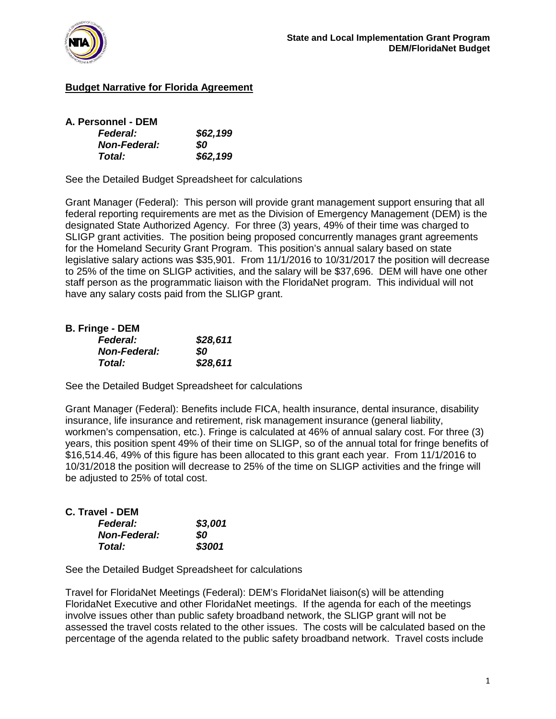

# **Budget Narrative for Florida Agreement**

| A. Personnel - DEM  |          |
|---------------------|----------|
| <b>Federal:</b>     | \$62,199 |
| <b>Non-Federal:</b> | 80       |
| Total:              | \$62,199 |

See the Detailed Budget Spreadsheet for calculations

Grant Manager (Federal): This person will provide grant management support ensuring that all federal reporting requirements are met as the Division of Emergency Management (DEM) is the designated State Authorized Agency. For three (3) years, 49% of their time was charged to SLIGP grant activities. The position being proposed concurrently manages grant agreements for the Homeland Security Grant Program. This position's annual salary based on state legislative salary actions was \$35,901. From 11/1/2016 to 10/31/2017 the position will decrease to 25% of the time on SLIGP activities, and the salary will be \$37,696. DEM will have one other staff person as the programmatic liaison with the FloridaNet program. This individual will not have any salary costs paid from the SLIGP grant.

| <b>B. Fringe - DEM</b> |          |
|------------------------|----------|
| <b>Federal:</b>        | \$28,611 |
| <b>Non-Federal:</b>    | SO       |
| <b>Total:</b>          | \$28,611 |

See the Detailed Budget Spreadsheet for calculations

Grant Manager (Federal): Benefits include FICA, health insurance, dental insurance, disability insurance, life insurance and retirement, risk management insurance (general liability, workmen's compensation, etc.). Fringe is calculated at 46% of annual salary cost. For three (3) years, this position spent 49% of their time on SLIGP, so of the annual total for fringe benefits of \$16,514.46, 49% of this figure has been allocated to this grant each year. From 11/1/2016 to 10/31/2018 the position will decrease to 25% of the time on SLIGP activities and the fringe will be adjusted to 25% of total cost.

| C. Travel - DEM     |         |
|---------------------|---------|
| <b>Federal:</b>     | \$3,001 |
| <b>Non-Federal:</b> | 80      |
| <b>Total:</b>       | \$3001  |

See the Detailed Budget Spreadsheet for calculations

Travel for FloridaNet Meetings (Federal): DEM's FloridaNet liaison(s) will be attending FloridaNet Executive and other FloridaNet meetings. If the agenda for each of the meetings involve issues other than public safety broadband network, the SLIGP grant will not be assessed the travel costs related to the other issues. The costs will be calculated based on the percentage of the agenda related to the public safety broadband network. Travel costs include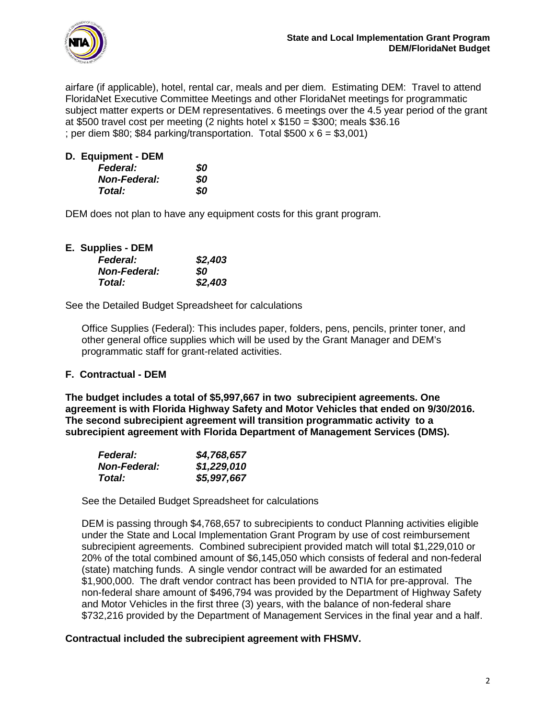

airfare (if applicable), hotel, rental car, meals and per diem. Estimating DEM: Travel to attend FloridaNet Executive Committee Meetings and other FloridaNet meetings for programmatic subject matter experts or DEM representatives. 6 meetings over the 4.5 year period of the grant at \$500 travel cost per meeting (2 nights hotel x \$150 = \$300; meals \$36.16 ; per diem  $$80; $84$  parking/transportation. Total  $$500 \times 6 = $3,001$ )

| D. Equipment - DEM  |     |
|---------------------|-----|
| <b>Federal:</b>     | SO. |
| <b>Non-Federal:</b> | SO. |
| Total:              | SO. |

DEM does not plan to have any equipment costs for this grant program.

|  | E. Supplies - DEM |
|--|-------------------|
|--|-------------------|

| <b>Federal:</b>     | \$2,403 |
|---------------------|---------|
| <b>Non-Federal:</b> | SO.     |
| Total:              | \$2,403 |

See the Detailed Budget Spreadsheet for calculations

Office Supplies (Federal): This includes paper, folders, pens, pencils, printer toner, and other general office supplies which will be used by the Grant Manager and DEM's programmatic staff for grant-related activities.

### **F. Contractual - DEM**

**The budget includes a total of \$5,997,667 in two subrecipient agreements. One agreement is with Florida Highway Safety and Motor Vehicles that ended on 9/30/2016. The second subrecipient agreement will transition programmatic activity to a subrecipient agreement with Florida Department of Management Services (DMS).** 

| <b>Federal:</b>     | \$4,768,657 |
|---------------------|-------------|
| <b>Non-Federal:</b> | \$1,229,010 |
| Total:              | \$5,997,667 |

See the Detailed Budget Spreadsheet for calculations

DEM is passing through \$4,768,657 to subrecipients to conduct Planning activities eligible under the State and Local Implementation Grant Program by use of cost reimbursement subrecipient agreements. Combined subrecipient provided match will total \$1,229,010 or 20% of the total combined amount of \$6,145,050 which consists of federal and non-federal (state) matching funds. A single vendor contract will be awarded for an estimated \$1,900,000. The draft vendor contract has been provided to NTIA for pre-approval. The non-federal share amount of \$496,794 was provided by the Department of Highway Safety and Motor Vehicles in the first three (3) years, with the balance of non-federal share \$732,216 provided by the Department of Management Services in the final year and a half.

### **Contractual included the subrecipient agreement with FHSMV.**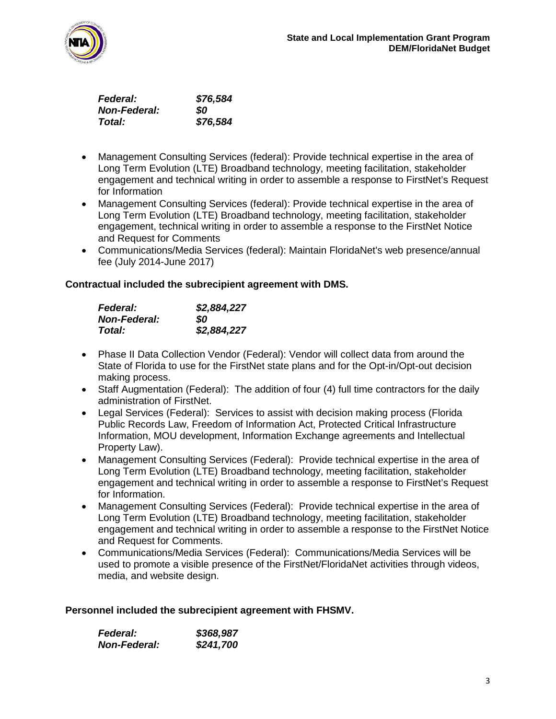

| <b>Federal:</b>     | \$76,584 |
|---------------------|----------|
| <b>Non-Federal:</b> | SO.      |
| Total:              | \$76,584 |

- Management Consulting Services (federal): Provide technical expertise in the area of Long Term Evolution (LTE) Broadband technology, meeting facilitation, stakeholder engagement and technical writing in order to assemble a response to FirstNet's Request for Information
- Management Consulting Services (federal): Provide technical expertise in the area of Long Term Evolution (LTE) Broadband technology, meeting facilitation, stakeholder engagement, technical writing in order to assemble a response to the FirstNet Notice and Request for Comments
- Communications/Media Services (federal): Maintain FloridaNet's web presence/annual fee (July 2014-June 2017)

### **Contractual included the subrecipient agreement with DMS.**

| <b>Federal:</b>     | \$2,884,227 |
|---------------------|-------------|
| <b>Non-Federal:</b> | SO.         |
| Total:              | \$2,884,227 |

- Phase II Data Collection Vendor (Federal): Vendor will collect data from around the State of Florida to use for the FirstNet state plans and for the Opt-in/Opt-out decision making process.
- Staff Augmentation (Federal): The addition of four (4) full time contractors for the daily administration of FirstNet.
- Legal Services (Federal): Services to assist with decision making process (Florida Public Records Law, Freedom of Information Act, Protected Critical Infrastructure Information, MOU development, Information Exchange agreements and Intellectual Property Law).
- Management Consulting Services (Federal): Provide technical expertise in the area of Long Term Evolution (LTE) Broadband technology, meeting facilitation, stakeholder engagement and technical writing in order to assemble a response to FirstNet's Request for Information.
- Management Consulting Services (Federal): Provide technical expertise in the area of Long Term Evolution (LTE) Broadband technology, meeting facilitation, stakeholder engagement and technical writing in order to assemble a response to the FirstNet Notice and Request for Comments.
- Communications/Media Services (Federal): Communications/Media Services will be used to promote a visible presence of the FirstNet/FloridaNet activities through videos, media, and website design.

**Personnel included the subrecipient agreement with FHSMV.**

| <i><b>Federal:</b></i> | \$368,987 |
|------------------------|-----------|
| <b>Non-Federal:</b>    | \$241,700 |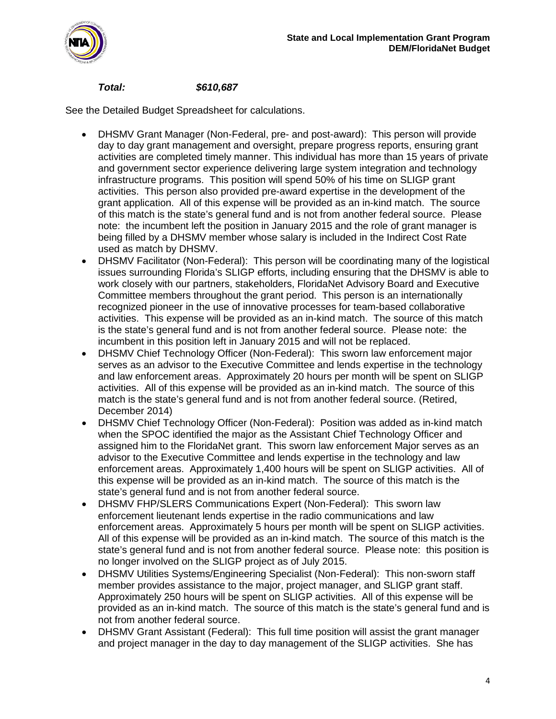

## *Total: \$610,687*

- DHSMV Grant Manager (Non-Federal, pre- and post-award): This person will provide day to day grant management and oversight, prepare progress reports, ensuring grant activities are completed timely manner. This individual has more than 15 years of private and government sector experience delivering large system integration and technology infrastructure programs. This position will spend 50% of his time on SLIGP grant activities. This person also provided pre-award expertise in the development of the grant application. All of this expense will be provided as an in-kind match. The source of this match is the state's general fund and is not from another federal source. Please note: the incumbent left the position in January 2015 and the role of grant manager is being filled by a DHSMV member whose salary is included in the Indirect Cost Rate used as match by DHSMV.
- DHSMV Facilitator (Non-Federal): This person will be coordinating many of the logistical issues surrounding Florida's SLIGP efforts, including ensuring that the DHSMV is able to work closely with our partners, stakeholders, FloridaNet Advisory Board and Executive Committee members throughout the grant period. This person is an internationally recognized pioneer in the use of innovative processes for team-based collaborative activities. This expense will be provided as an in-kind match. The source of this match is the state's general fund and is not from another federal source. Please note: the incumbent in this position left in January 2015 and will not be replaced.
- DHSMV Chief Technology Officer (Non-Federal): This sworn law enforcement major serves as an advisor to the Executive Committee and lends expertise in the technology and law enforcement areas. Approximately 20 hours per month will be spent on SLIGP activities. All of this expense will be provided as an in-kind match. The source of this match is the state's general fund and is not from another federal source. (Retired, December 2014)
- DHSMV Chief Technology Officer (Non-Federal): Position was added as in-kind match when the SPOC identified the major as the Assistant Chief Technology Officer and assigned him to the FloridaNet grant. This sworn law enforcement Major serves as an advisor to the Executive Committee and lends expertise in the technology and law enforcement areas. Approximately 1,400 hours will be spent on SLIGP activities. All of this expense will be provided as an in-kind match. The source of this match is the state's general fund and is not from another federal source.
- DHSMV FHP/SLERS Communications Expert (Non-Federal): This sworn law enforcement lieutenant lends expertise in the radio communications and law enforcement areas. Approximately 5 hours per month will be spent on SLIGP activities. All of this expense will be provided as an in-kind match. The source of this match is the state's general fund and is not from another federal source. Please note: this position is no longer involved on the SLIGP project as of July 2015.
- DHSMV Utilities Systems/Engineering Specialist (Non-Federal): This non-sworn staff member provides assistance to the major, project manager, and SLIGP grant staff. Approximately 250 hours will be spent on SLIGP activities. All of this expense will be provided as an in-kind match. The source of this match is the state's general fund and is not from another federal source.
- DHSMV Grant Assistant (Federal): This full time position will assist the grant manager and project manager in the day to day management of the SLIGP activities. She has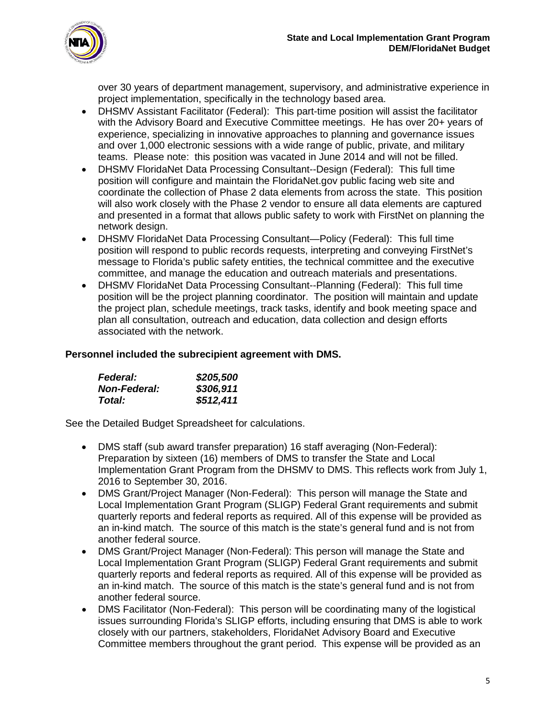

over 30 years of department management, supervisory, and administrative experience in project implementation, specifically in the technology based area.

- DHSMV Assistant Facilitator (Federal): This part-time position will assist the facilitator with the Advisory Board and Executive Committee meetings. He has over 20+ years of experience, specializing in innovative approaches to planning and governance issues and over 1,000 electronic sessions with a wide range of public, private, and military teams. Please note: this position was vacated in June 2014 and will not be filled.
- DHSMV FloridaNet Data Processing Consultant--Design (Federal): This full time position will configure and maintain the FloridaNet.gov public facing web site and coordinate the collection of Phase 2 data elements from across the state. This position will also work closely with the Phase 2 vendor to ensure all data elements are captured and presented in a format that allows public safety to work with FirstNet on planning the network design.
- DHSMV FloridaNet Data Processing Consultant—Policy (Federal): This full time position will respond to public records requests, interpreting and conveying FirstNet's message to Florida's public safety entities, the technical committee and the executive committee, and manage the education and outreach materials and presentations.
- DHSMV FloridaNet Data Processing Consultant--Planning (Federal): This full time position will be the project planning coordinator. The position will maintain and update the project plan, schedule meetings, track tasks, identify and book meeting space and plan all consultation, outreach and education, data collection and design efforts associated with the network.

## **Personnel included the subrecipient agreement with DMS.**

| <b>Federal:</b>     | \$205,500 |
|---------------------|-----------|
| <b>Non-Federal:</b> | \$306,911 |
| Total:              | \$512,411 |

- DMS staff (sub award transfer preparation) 16 staff averaging (Non-Federal): Preparation by sixteen (16) members of DMS to transfer the State and Local Implementation Grant Program from the DHSMV to DMS. This reflects work from July 1, 2016 to September 30, 2016.
- DMS Grant/Project Manager (Non-Federal): This person will manage the State and Local Implementation Grant Program (SLIGP) Federal Grant requirements and submit quarterly reports and federal reports as required. All of this expense will be provided as an in-kind match. The source of this match is the state's general fund and is not from another federal source.
- DMS Grant/Project Manager (Non-Federal): This person will manage the State and Local Implementation Grant Program (SLIGP) Federal Grant requirements and submit quarterly reports and federal reports as required. All of this expense will be provided as an in-kind match. The source of this match is the state's general fund and is not from another federal source.
- DMS Facilitator (Non-Federal): This person will be coordinating many of the logistical issues surrounding Florida's SLIGP efforts, including ensuring that DMS is able to work closely with our partners, stakeholders, FloridaNet Advisory Board and Executive Committee members throughout the grant period. This expense will be provided as an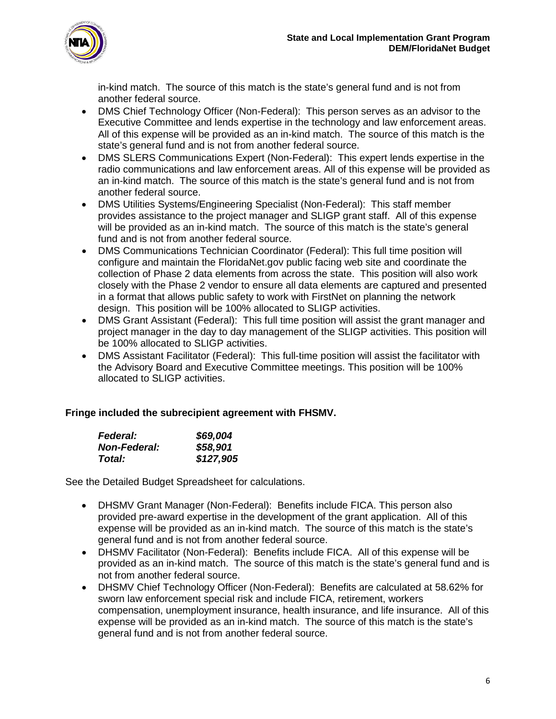

in-kind match. The source of this match is the state's general fund and is not from another federal source.

- DMS Chief Technology Officer (Non-Federal): This person serves as an advisor to the Executive Committee and lends expertise in the technology and law enforcement areas. All of this expense will be provided as an in-kind match. The source of this match is the state's general fund and is not from another federal source.
- DMS SLERS Communications Expert (Non-Federal): This expert lends expertise in the radio communications and law enforcement areas. All of this expense will be provided as an in-kind match. The source of this match is the state's general fund and is not from another federal source.
- DMS Utilities Systems/Engineering Specialist (Non-Federal): This staff member provides assistance to the project manager and SLIGP grant staff. All of this expense will be provided as an in-kind match. The source of this match is the state's general fund and is not from another federal source.
- DMS Communications Technician Coordinator (Federal): This full time position will configure and maintain the FloridaNet.gov public facing web site and coordinate the collection of Phase 2 data elements from across the state. This position will also work closely with the Phase 2 vendor to ensure all data elements are captured and presented in a format that allows public safety to work with FirstNet on planning the network design. This position will be 100% allocated to SLIGP activities.
- DMS Grant Assistant (Federal): This full time position will assist the grant manager and project manager in the day to day management of the SLIGP activities. This position will be 100% allocated to SLIGP activities.
- DMS Assistant Facilitator (Federal): This full-time position will assist the facilitator with the Advisory Board and Executive Committee meetings. This position will be 100% allocated to SLIGP activities.

### **Fringe included the subrecipient agreement with FHSMV.**

| <b>Federal:</b>     | \$69,004  |
|---------------------|-----------|
| <b>Non-Federal:</b> | \$58,901  |
| Total:              | \$127,905 |

- DHSMV Grant Manager (Non-Federal): Benefits include FICA. This person also provided pre-award expertise in the development of the grant application. All of this expense will be provided as an in-kind match. The source of this match is the state's general fund and is not from another federal source.
- DHSMV Facilitator (Non-Federal): Benefits include FICA. All of this expense will be provided as an in-kind match. The source of this match is the state's general fund and is not from another federal source.
- DHSMV Chief Technology Officer (Non-Federal): Benefits are calculated at 58.62% for sworn law enforcement special risk and include FICA, retirement, workers compensation, unemployment insurance, health insurance, and life insurance. All of this expense will be provided as an in-kind match. The source of this match is the state's general fund and is not from another federal source.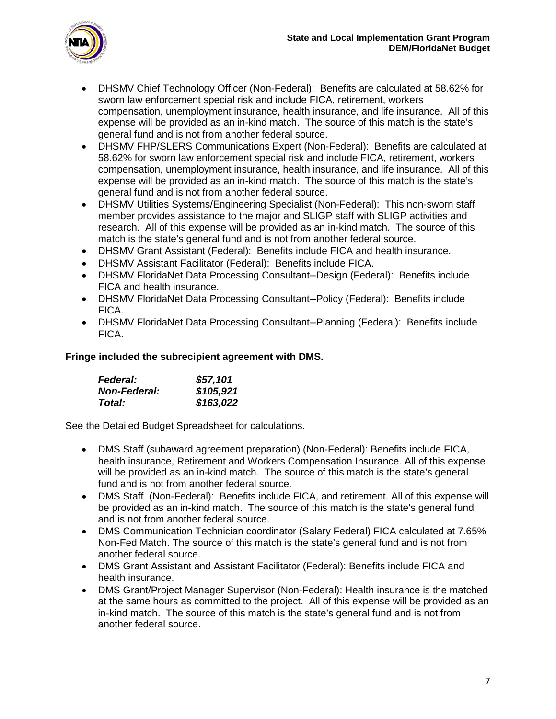

- DHSMV Chief Technology Officer (Non-Federal): Benefits are calculated at 58.62% for sworn law enforcement special risk and include FICA, retirement, workers compensation, unemployment insurance, health insurance, and life insurance. All of this expense will be provided as an in-kind match. The source of this match is the state's general fund and is not from another federal source.
- DHSMV FHP/SLERS Communications Expert (Non-Federal): Benefits are calculated at 58.62% for sworn law enforcement special risk and include FICA, retirement, workers compensation, unemployment insurance, health insurance, and life insurance. All of this expense will be provided as an in-kind match. The source of this match is the state's general fund and is not from another federal source.
- DHSMV Utilities Systems/Engineering Specialist (Non-Federal): This non-sworn staff member provides assistance to the major and SLIGP staff with SLIGP activities and research. All of this expense will be provided as an in-kind match. The source of this match is the state's general fund and is not from another federal source.
- DHSMV Grant Assistant (Federal): Benefits include FICA and health insurance.
- DHSMV Assistant Facilitator (Federal): Benefits include FICA.
- DHSMV FloridaNet Data Processing Consultant--Design (Federal): Benefits include FICA and health insurance.
- DHSMV FloridaNet Data Processing Consultant--Policy (Federal): Benefits include FICA.
- DHSMV FloridaNet Data Processing Consultant--Planning (Federal): Benefits include FICA.

### **Fringe included the subrecipient agreement with DMS.**

| <b>Federal:</b>     | \$57,101  |
|---------------------|-----------|
| <b>Non-Federal:</b> | \$105,921 |
| Total:              | \$163,022 |

- DMS Staff (subaward agreement preparation) (Non-Federal): Benefits include FICA, health insurance, Retirement and Workers Compensation Insurance. All of this expense will be provided as an in-kind match. The source of this match is the state's general fund and is not from another federal source.
- DMS Staff (Non-Federal): Benefits include FICA, and retirement. All of this expense will be provided as an in-kind match. The source of this match is the state's general fund and is not from another federal source.
- DMS Communication Technician coordinator (Salary Federal) FICA calculated at 7.65% Non-Fed Match. The source of this match is the state's general fund and is not from another federal source.
- DMS Grant Assistant and Assistant Facilitator (Federal): Benefits include FICA and health insurance.
- DMS Grant/Project Manager Supervisor (Non-Federal): Health insurance is the matched at the same hours as committed to the project. All of this expense will be provided as an in-kind match. The source of this match is the state's general fund and is not from another federal source.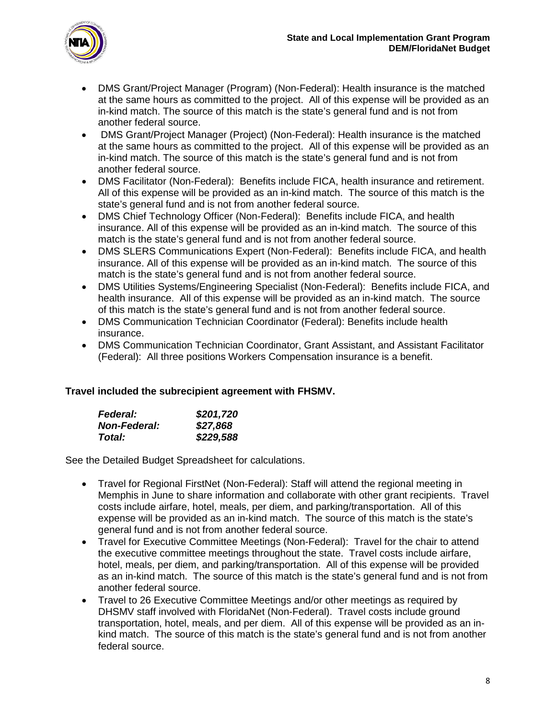

- DMS Grant/Project Manager (Program) (Non-Federal): Health insurance is the matched at the same hours as committed to the project. All of this expense will be provided as an in-kind match. The source of this match is the state's general fund and is not from another federal source.
- DMS Grant/Project Manager (Project) (Non-Federal): Health insurance is the matched at the same hours as committed to the project. All of this expense will be provided as an in-kind match. The source of this match is the state's general fund and is not from another federal source.
- DMS Facilitator (Non-Federal): Benefits include FICA, health insurance and retirement. All of this expense will be provided as an in-kind match. The source of this match is the state's general fund and is not from another federal source.
- DMS Chief Technology Officer (Non-Federal): Benefits include FICA, and health insurance. All of this expense will be provided as an in-kind match. The source of this match is the state's general fund and is not from another federal source.
- DMS SLERS Communications Expert (Non-Federal): Benefits include FICA, and health insurance. All of this expense will be provided as an in-kind match. The source of this match is the state's general fund and is not from another federal source.
- DMS Utilities Systems/Engineering Specialist (Non-Federal): Benefits include FICA, and health insurance. All of this expense will be provided as an in-kind match. The source of this match is the state's general fund and is not from another federal source.
- DMS Communication Technician Coordinator (Federal): Benefits include health insurance.
- DMS Communication Technician Coordinator, Grant Assistant, and Assistant Facilitator (Federal): All three positions Workers Compensation insurance is a benefit.

# **Travel included the subrecipient agreement with FHSMV.**

| <b>Federal:</b>     | \$201,720 |
|---------------------|-----------|
| <b>Non-Federal:</b> | \$27,868  |
| Total:              | \$229,588 |

- Travel for Regional FirstNet (Non-Federal): Staff will attend the regional meeting in Memphis in June to share information and collaborate with other grant recipients. Travel costs include airfare, hotel, meals, per diem, and parking/transportation. All of this expense will be provided as an in-kind match. The source of this match is the state's general fund and is not from another federal source.
- Travel for Executive Committee Meetings (Non-Federal): Travel for the chair to attend the executive committee meetings throughout the state. Travel costs include airfare, hotel, meals, per diem, and parking/transportation. All of this expense will be provided as an in-kind match. The source of this match is the state's general fund and is not from another federal source.
- Travel to 26 Executive Committee Meetings and/or other meetings as required by DHSMV staff involved with FloridaNet (Non-Federal). Travel costs include ground transportation, hotel, meals, and per diem. All of this expense will be provided as an inkind match. The source of this match is the state's general fund and is not from another federal source.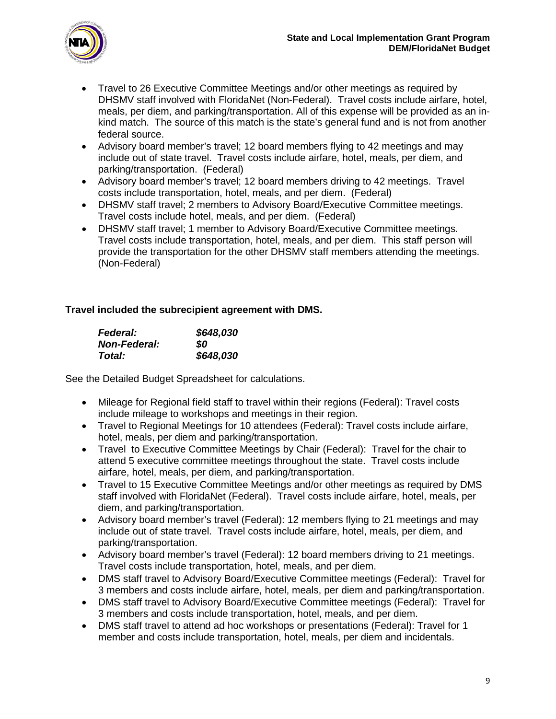

- Travel to 26 Executive Committee Meetings and/or other meetings as required by DHSMV staff involved with FloridaNet (Non-Federal). Travel costs include airfare, hotel, meals, per diem, and parking/transportation. All of this expense will be provided as an inkind match. The source of this match is the state's general fund and is not from another federal source.
- Advisory board member's travel; 12 board members flying to 42 meetings and may include out of state travel. Travel costs include airfare, hotel, meals, per diem, and parking/transportation. (Federal)
- Advisory board member's travel; 12 board members driving to 42 meetings. Travel costs include transportation, hotel, meals, and per diem. (Federal)
- DHSMV staff travel; 2 members to Advisory Board/Executive Committee meetings. Travel costs include hotel, meals, and per diem. (Federal)
- DHSMV staff travel; 1 member to Advisory Board/Executive Committee meetings. Travel costs include transportation, hotel, meals, and per diem. This staff person will provide the transportation for the other DHSMV staff members attending the meetings. (Non-Federal)

# **Travel included the subrecipient agreement with DMS.**

| <b>Federal:</b>     | \$648,030 |
|---------------------|-----------|
| <b>Non-Federal:</b> | SO.       |
| Total:              | \$648,030 |

- Mileage for Regional field staff to travel within their regions (Federal): Travel costs include mileage to workshops and meetings in their region.
- Travel to Regional Meetings for 10 attendees (Federal): Travel costs include airfare, hotel, meals, per diem and parking/transportation.
- Travel to Executive Committee Meetings by Chair (Federal): Travel for the chair to attend 5 executive committee meetings throughout the state. Travel costs include airfare, hotel, meals, per diem, and parking/transportation.
- Travel to 15 Executive Committee Meetings and/or other meetings as required by DMS staff involved with FloridaNet (Federal). Travel costs include airfare, hotel, meals, per diem, and parking/transportation.
- Advisory board member's travel (Federal): 12 members flying to 21 meetings and may include out of state travel. Travel costs include airfare, hotel, meals, per diem, and parking/transportation.
- Advisory board member's travel (Federal): 12 board members driving to 21 meetings. Travel costs include transportation, hotel, meals, and per diem.
- DMS staff travel to Advisory Board/Executive Committee meetings (Federal): Travel for 3 members and costs include airfare, hotel, meals, per diem and parking/transportation.
- DMS staff travel to Advisory Board/Executive Committee meetings (Federal): Travel for 3 members and costs include transportation, hotel, meals, and per diem.
- DMS staff travel to attend ad hoc workshops or presentations (Federal): Travel for 1 member and costs include transportation, hotel, meals, per diem and incidentals.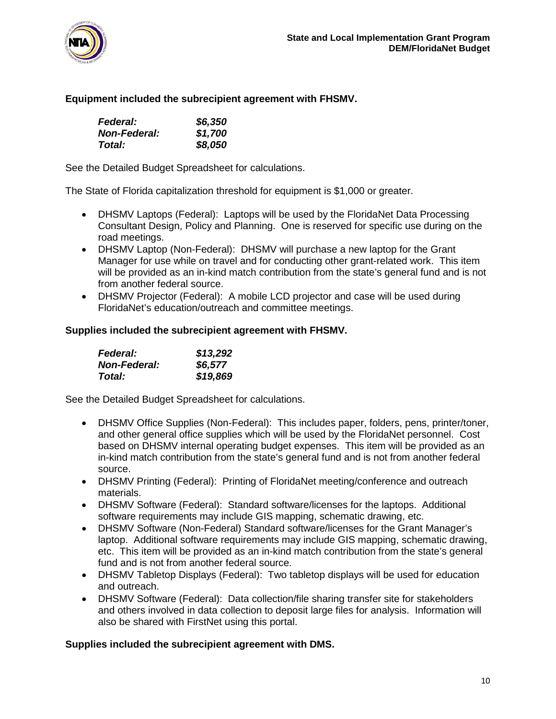

### **Equipment included the subrecipient agreement with FHSMV.**

| <b>Federal:</b>     | \$6,350 |
|---------------------|---------|
| <b>Non-Federal:</b> | \$1,700 |
| Total:              | \$8,050 |

See the Detailed Budget Spreadsheet for calculations.

The State of Florida capitalization threshold for equipment is \$1,000 or greater.

- DHSMV Laptops (Federal): Laptops will be used by the FloridaNet Data Processing Consultant Design, Policy and Planning. One is reserved for specific use during on the road meetings.
- DHSMV Laptop (Non-Federal): DHSMV will purchase a new laptop for the Grant Manager for use while on travel and for conducting other grant-related work. This item will be provided as an in-kind match contribution from the state's general fund and is not from another federal source.
- DHSMV Projector (Federal): A mobile LCD projector and case will be used during FloridaNet's education/outreach and committee meetings.

### **Supplies included the subrecipient agreement with FHSMV.**

| <b>Federal:</b>     | \$13,292 |
|---------------------|----------|
| <b>Non-Federal:</b> | \$6,577  |
| Total:              | \$19,869 |

See the Detailed Budget Spreadsheet for calculations.

- DHSMV Office Supplies (Non-Federal): This includes paper, folders, pens, printer/toner, and other general office supplies which will be used by the FloridaNet personnel. Cost based on DHSMV internal operating budget expenses. This item will be provided as an in-kind match contribution from the state's general fund and is not from another federal source.
- DHSMV Printing (Federal): Printing of FloridaNet meeting/conference and outreach materials.
- DHSMV Software (Federal): Standard software/licenses for the laptops. Additional software requirements may include GIS mapping, schematic drawing, etc.
- DHSMV Software (Non-Federal) Standard software/licenses for the Grant Manager's laptop. Additional software requirements may include GIS mapping, schematic drawing, etc. This item will be provided as an in-kind match contribution from the state's general fund and is not from another federal source.
- DHSMV Tabletop Displays (Federal): Two tabletop displays will be used for education and outreach.
- DHSMV Software (Federal): Data collection/file sharing transfer site for stakeholders and others involved in data collection to deposit large files for analysis. Information will also be shared with FirstNet using this portal.

### **Supplies included the subrecipient agreement with DMS.**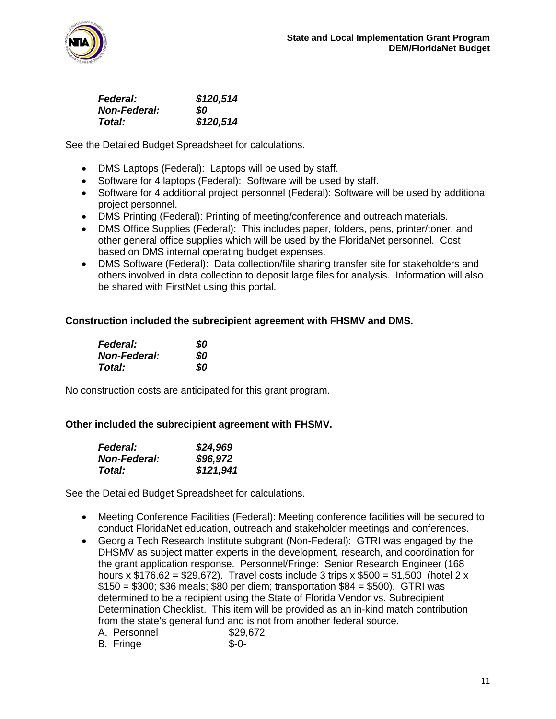

| <b>Federal:</b>     | \$120,514 |
|---------------------|-----------|
| <b>Non-Federal:</b> | SO.       |
| Total:              | \$120,514 |

See the Detailed Budget Spreadsheet for calculations.

- DMS Laptops (Federal): Laptops will be used by staff.
- Software for 4 laptops (Federal): Software will be used by staff.
- Software for 4 additional project personnel (Federal): Software will be used by additional project personnel.
- DMS Printing (Federal): Printing of meeting/conference and outreach materials.
- DMS Office Supplies (Federal): This includes paper, folders, pens, printer/toner, and other general office supplies which will be used by the FloridaNet personnel. Cost based on DMS internal operating budget expenses.
- DMS Software (Federal): Data collection/file sharing transfer site for stakeholders and others involved in data collection to deposit large files for analysis. Information will also be shared with FirstNet using this portal.

### **Construction included the subrecipient agreement with FHSMV and DMS.**

| <b>Federal:</b>     | 80 |
|---------------------|----|
| <b>Non-Federal:</b> | 80 |
| Total:              | 80 |

No construction costs are anticipated for this grant program.

### **Other included the subrecipient agreement with FHSMV.**

| <b>Federal:</b>     | \$24,969  |
|---------------------|-----------|
| <b>Non-Federal:</b> | \$96,972  |
| Total:              | \$121,941 |

- Meeting Conference Facilities (Federal): Meeting conference facilities will be secured to conduct FloridaNet education, outreach and stakeholder meetings and conferences.
- Georgia Tech Research Institute subgrant (Non-Federal): GTRI was engaged by the DHSMV as subject matter experts in the development, research, and coordination for the grant application response. Personnel/Fringe: Senior Research Engineer (168 hours x  $$176.62 = $29.672$ . Travel costs include 3 trips x  $$500 = $1,500$  (hotel 2 x \$150 = \$300; \$36 meals; \$80 per diem; transportation \$84 = \$500). GTRI was determined to be a recipient using the State of Florida Vendor vs. Subrecipient Determination Checklist. This item will be provided as an in-kind match contribution from the state's general fund and is not from another federal source.

| A. Personnel | \$29,672 |
|--------------|----------|
| B. Fringe    | $S-0-$   |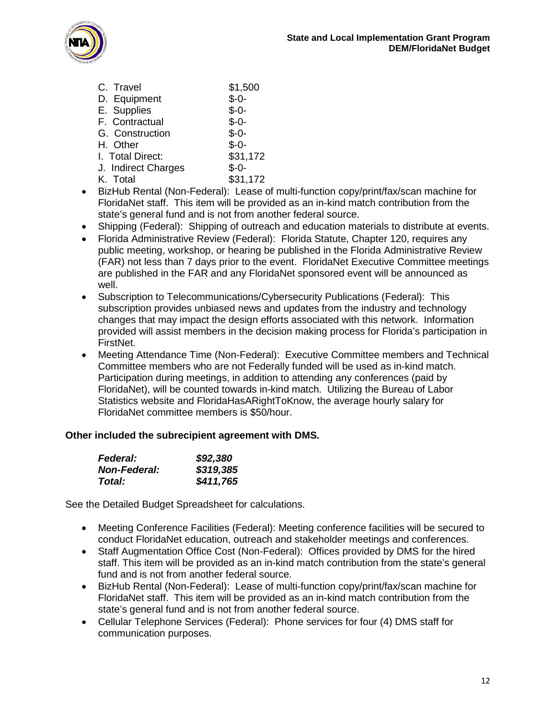

| C. Travel           | \$1,500  |
|---------------------|----------|
| D. Equipment        | $$-0-$   |
| E. Supplies         | $$ -0-$  |
| F. Contractual      | $$ -0-$  |
| G. Construction     | $$ -0-$  |
| H. Other            | $$ -0-$  |
| I. Total Direct:    | \$31,172 |
| J. Indirect Charges | $$ -0-$  |
| K. Total            | \$31,172 |

- BizHub Rental (Non-Federal): Lease of multi-function copy/print/fax/scan machine for FloridaNet staff. This item will be provided as an in-kind match contribution from the state's general fund and is not from another federal source.
- Shipping (Federal): Shipping of outreach and education materials to distribute at events.
- Florida Administrative Review (Federal): Florida Statute, Chapter 120, requires any public meeting, workshop, or hearing be published in the Florida Administrative Review (FAR) not less than 7 days prior to the event. FloridaNet Executive Committee meetings are published in the FAR and any FloridaNet sponsored event will be announced as well.
- Subscription to Telecommunications/Cybersecurity Publications (Federal): This subscription provides unbiased news and updates from the industry and technology changes that may impact the design efforts associated with this network. Information provided will assist members in the decision making process for Florida's participation in FirstNet.
- Meeting Attendance Time (Non-Federal): Executive Committee members and Technical Committee members who are not Federally funded will be used as in-kind match. Participation during meetings, in addition to attending any conferences (paid by FloridaNet), will be counted towards in-kind match. Utilizing the Bureau of Labor Statistics website and FloridaHasARightToKnow, the average hourly salary for FloridaNet committee members is \$50/hour.

### **Other included the subrecipient agreement with DMS.**

| <b>Federal:</b>      | \$92,380  |
|----------------------|-----------|
| <b>Non-Federal:</b>  | \$319,385 |
| <i><b>Total:</b></i> | \$411,765 |

- Meeting Conference Facilities (Federal): Meeting conference facilities will be secured to conduct FloridaNet education, outreach and stakeholder meetings and conferences.
- Staff Augmentation Office Cost (Non-Federal): Offices provided by DMS for the hired staff. This item will be provided as an in-kind match contribution from the state's general fund and is not from another federal source.
- BizHub Rental (Non-Federal): Lease of multi-function copy/print/fax/scan machine for FloridaNet staff. This item will be provided as an in-kind match contribution from the state's general fund and is not from another federal source.
- Cellular Telephone Services (Federal): Phone services for four (4) DMS staff for communication purposes.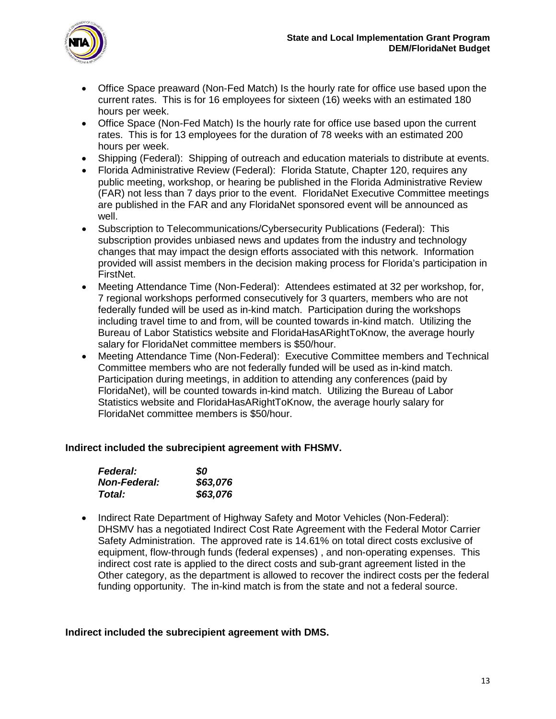

- Office Space preaward (Non-Fed Match) Is the hourly rate for office use based upon the current rates. This is for 16 employees for sixteen (16) weeks with an estimated 180 hours per week.
- Office Space (Non-Fed Match) Is the hourly rate for office use based upon the current rates. This is for 13 employees for the duration of 78 weeks with an estimated 200 hours per week.
- Shipping (Federal): Shipping of outreach and education materials to distribute at events.
- Florida Administrative Review (Federal): Florida Statute, Chapter 120, requires any public meeting, workshop, or hearing be published in the Florida Administrative Review (FAR) not less than 7 days prior to the event. FloridaNet Executive Committee meetings are published in the FAR and any FloridaNet sponsored event will be announced as well.
- Subscription to Telecommunications/Cybersecurity Publications (Federal): This subscription provides unbiased news and updates from the industry and technology changes that may impact the design efforts associated with this network. Information provided will assist members in the decision making process for Florida's participation in FirstNet.
- Meeting Attendance Time (Non-Federal): Attendees estimated at 32 per workshop, for, 7 regional workshops performed consecutively for 3 quarters, members who are not federally funded will be used as in-kind match. Participation during the workshops including travel time to and from, will be counted towards in-kind match. Utilizing the Bureau of Labor Statistics website and FloridaHasARightToKnow, the average hourly salary for FloridaNet committee members is \$50/hour.
- Meeting Attendance Time (Non-Federal): Executive Committee members and Technical Committee members who are not federally funded will be used as in-kind match. Participation during meetings, in addition to attending any conferences (paid by FloridaNet), will be counted towards in-kind match. Utilizing the Bureau of Labor Statistics website and FloridaHasARightToKnow, the average hourly salary for FloridaNet committee members is \$50/hour.

### **Indirect included the subrecipient agreement with FHSMV.**

| <b>Federal:</b>     | 80       |
|---------------------|----------|
| <b>Non-Federal:</b> | \$63,076 |
| <b>Total:</b>       | \$63,076 |

• Indirect Rate Department of Highway Safety and Motor Vehicles (Non-Federal): DHSMV has a negotiated Indirect Cost Rate Agreement with the Federal Motor Carrier Safety Administration. The approved rate is 14.61% on total direct costs exclusive of equipment, flow-through funds (federal expenses) , and non-operating expenses. This indirect cost rate is applied to the direct costs and sub-grant agreement listed in the Other category, as the department is allowed to recover the indirect costs per the federal funding opportunity. The in-kind match is from the state and not a federal source.

#### **Indirect included the subrecipient agreement with DMS.**